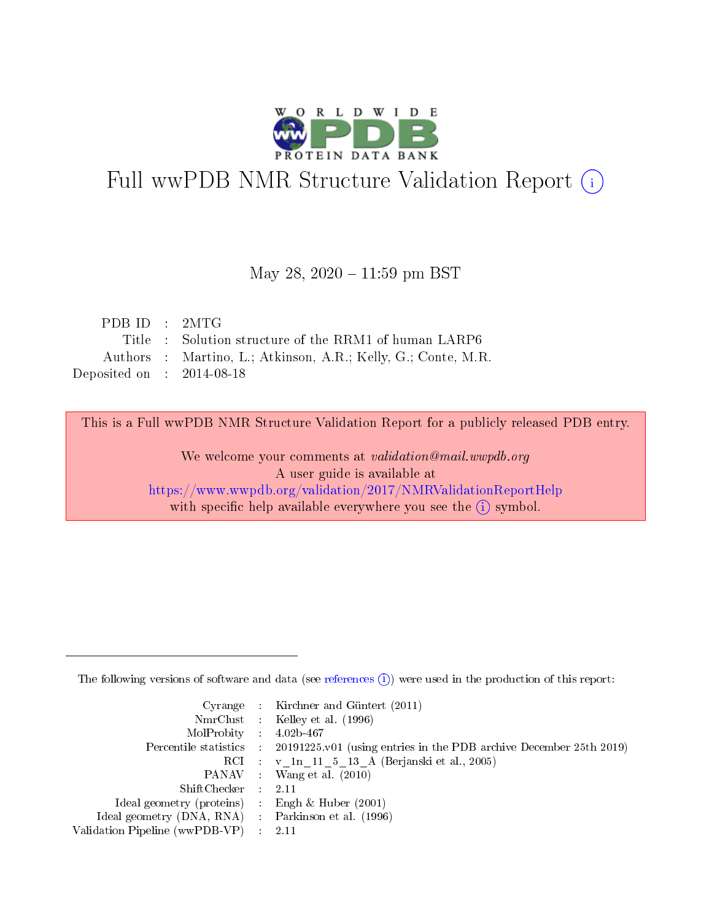

# Full wwPDB NMR Structure Validation Report (i)

#### May 28, 2020 - 11:59 pm BST

| PDB ID : 2MTG               |                                                               |
|-----------------------------|---------------------------------------------------------------|
|                             | Title : Solution structure of the RRM1 of human LARP6         |
|                             | Authors : Martino, L.; Atkinson, A.R.; Kelly, G.; Conte, M.R. |
| Deposited on : $2014-08-18$ |                                                               |

This is a Full wwPDB NMR Structure Validation Report for a publicly released PDB entry.

We welcome your comments at validation@mail.wwpdb.org A user guide is available at <https://www.wwpdb.org/validation/2017/NMRValidationReportHelp> with specific help available everywhere you see the  $(i)$  symbol.

The following versions of software and data (see [references](https://www.wwpdb.org/validation/2017/NMRValidationReportHelp#references)  $(1)$ ) were used in the production of this report:

|                                                    | Cyrange : Kirchner and Güntert $(2011)$                                                    |
|----------------------------------------------------|--------------------------------------------------------------------------------------------|
|                                                    | NmrClust : Kelley et al. (1996)                                                            |
| $MolProbability$ 4.02b-467                         |                                                                                            |
|                                                    | Percentile statistics : 20191225.v01 (using entries in the PDB archive December 25th 2019) |
|                                                    | RCI : v 1n 11 5 13 A (Berjanski et al., 2005)                                              |
|                                                    | PANAV Wang et al. (2010)                                                                   |
| $ShiftChecker$ : 2.11                              |                                                                                            |
| Ideal geometry (proteins) : Engh $\&$ Huber (2001) |                                                                                            |
| Ideal geometry (DNA, RNA) Parkinson et al. (1996)  |                                                                                            |
| Validation Pipeline (wwPDB-VP)                     | 2.11                                                                                       |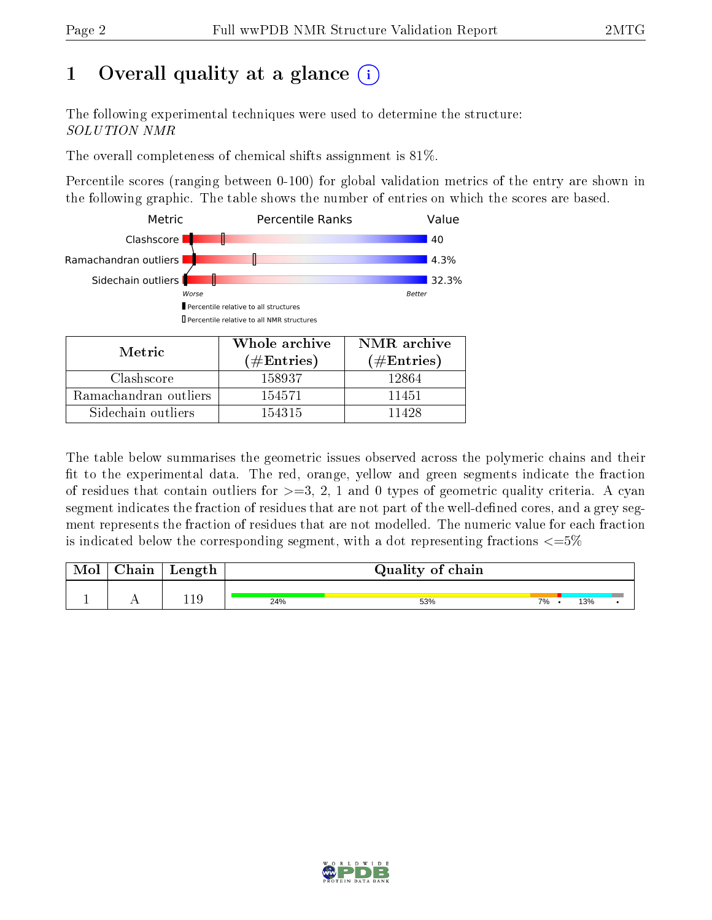# 1 [O](https://www.wwpdb.org/validation/2017/NMRValidationReportHelp#overall_quality)verall quality at a glance  $(i)$

The following experimental techniques were used to determine the structure: SOLUTION NMR

The overall completeness of chemical shifts assignment is 81%.

Percentile scores (ranging between 0-100) for global validation metrics of the entry are shown in the following graphic. The table shows the number of entries on which the scores are based.



| Metric                | $(\#\text{Entries})$ | $(\#Entries)$ |
|-----------------------|----------------------|---------------|
| Clashscore            | 158937               | 12864         |
| Ramachandran outliers | 154571               | 11451         |
| Sidechain outliers    | 154315               | 11428         |

The table below summarises the geometric issues observed across the polymeric chains and their fit to the experimental data. The red, orange, yellow and green segments indicate the fraction of residues that contain outliers for  $>=3, 2, 1$  and 0 types of geometric quality criteria. A cyan segment indicates the fraction of residues that are not part of the well-defined cores, and a grey segment represents the fraction of residues that are not modelled. The numeric value for each fraction is indicated below the corresponding segment, with a dot representing fractions  $\epsilon = 5\%$ 

| Mol | Chain | Length |     | Quality of chain |    |     |  |
|-----|-------|--------|-----|------------------|----|-----|--|
|     | . .   | 119    | 24% | 53%              | 7% | 13% |  |

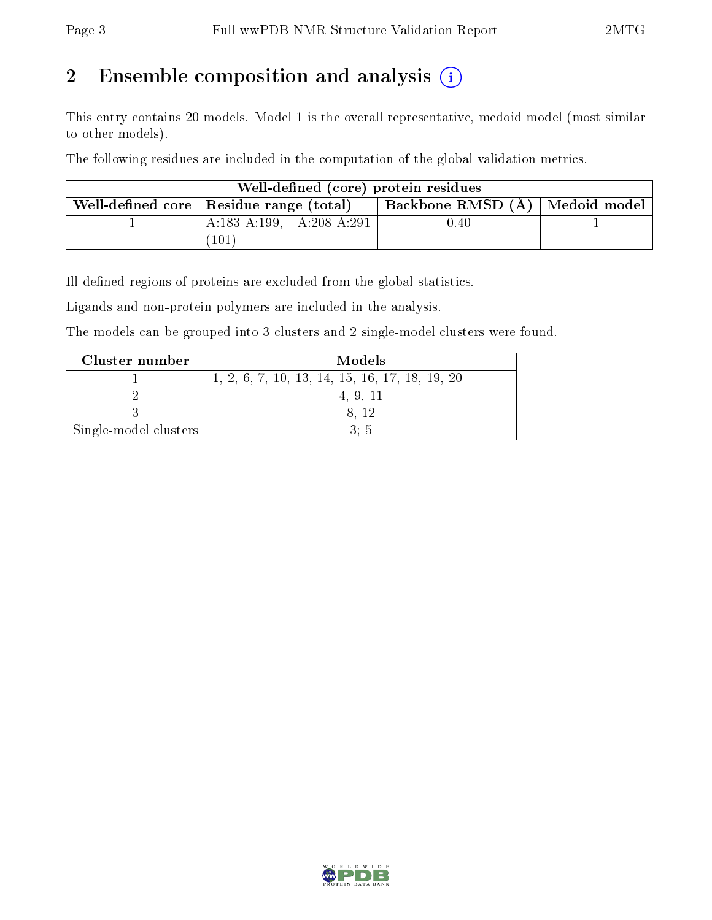# 2 Ensemble composition and analysis  $(i)$

This entry contains 20 models. Model 1 is the overall representative, medoid model (most similar to other models).

The following residues are included in the computation of the global validation metrics.

| Well-defined (core) protein residues      |                                  |  |
|-------------------------------------------|----------------------------------|--|
| Well-defined core   Residue range (total) | Backbone RMSD (A)   Medoid model |  |
| A:183-A:199, A:208-A:291                  | 0.40                             |  |
| (101)                                     |                                  |  |

Ill-defined regions of proteins are excluded from the global statistics.

Ligands and non-protein polymers are included in the analysis.

The models can be grouped into 3 clusters and 2 single-model clusters were found.

| Cluster number        | Models                                         |
|-----------------------|------------------------------------------------|
|                       | 1, 2, 6, 7, 10, 13, 14, 15, 16, 17, 18, 19, 20 |
|                       | 4.9.11                                         |
|                       | 8.12                                           |
| Single-model clusters | 3: 5                                           |

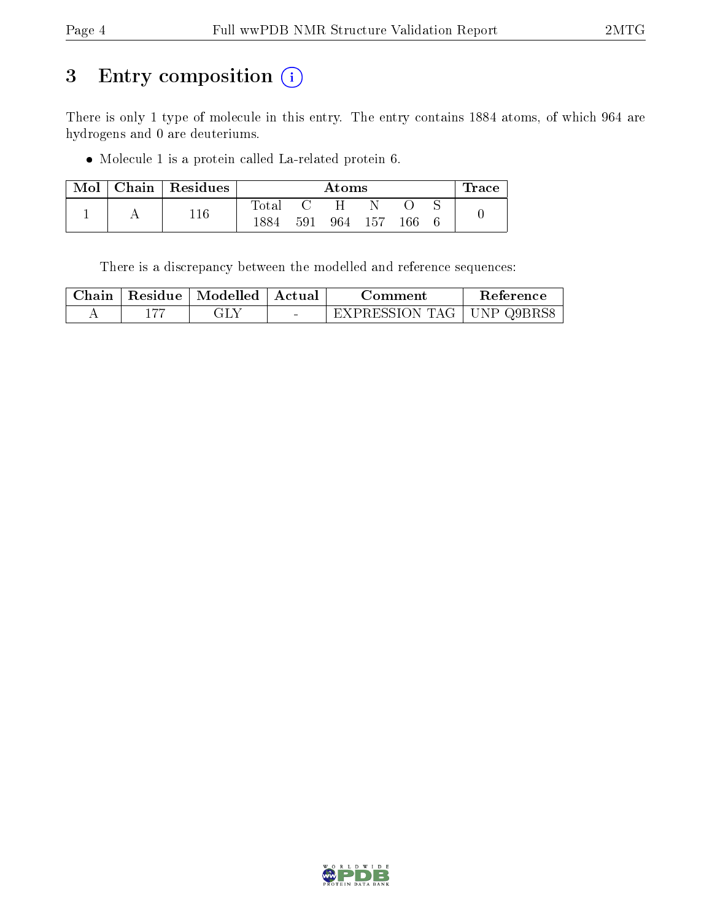# 3 Entry composition (i)

There is only 1 type of molecule in this entry. The entry contains 1884 atoms, of which 964 are hydrogens and 0 are deuteriums.

Molecule 1 is a protein called La-related protein 6.

| Mol | Chain   Residues |                |     | Atoms |      |     | $\pm \text{race}$ |
|-----|------------------|----------------|-----|-------|------|-----|-------------------|
|     | 11 G             | $_{\rm Total}$ |     |       |      |     |                   |
|     |                  |                | 591 | 964 - | -157 | 166 |                   |

There is a discrepancy between the modelled and reference sequences:

|  | $\alpha$ Chain   Residue   Modelled | '   Actual                        | Comment                            | <b>Reference</b> |  |  |  |  |  |
|--|-------------------------------------|-----------------------------------|------------------------------------|------------------|--|--|--|--|--|
|  |                                     | <b>Contract Contract Contract</b> | <b>EXPRESSION TAG   UNP Q9BRS8</b> |                  |  |  |  |  |  |

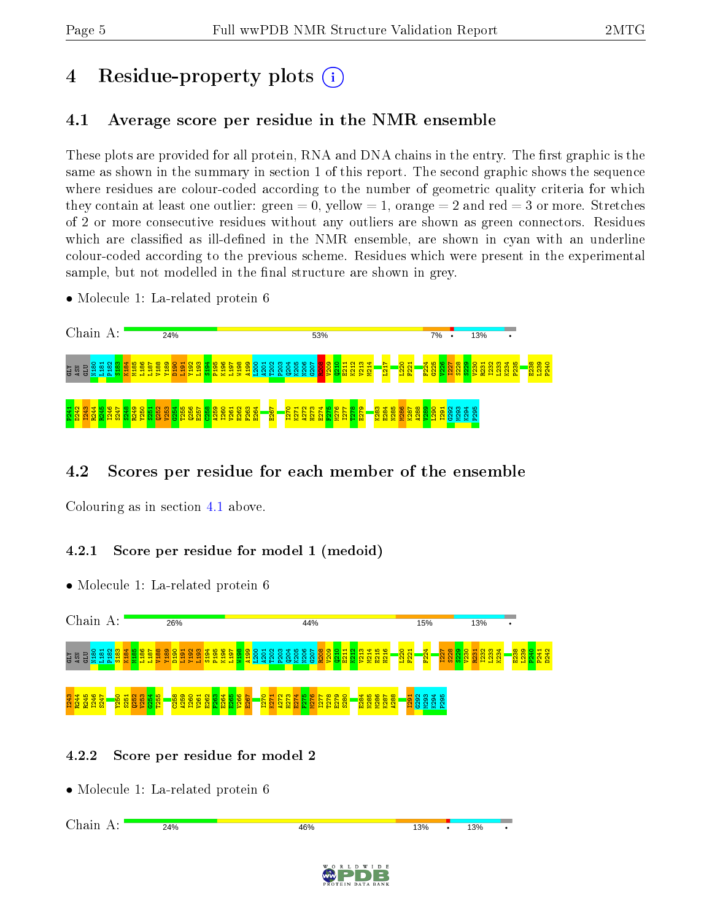# 4 Residue-property plots  $\binom{1}{1}$

# <span id="page-4-0"></span>4.1 Average score per residue in the NMR ensemble

These plots are provided for all protein, RNA and DNA chains in the entry. The first graphic is the same as shown in the summary in section 1 of this report. The second graphic shows the sequence where residues are colour-coded according to the number of geometric quality criteria for which they contain at least one outlier: green  $= 0$ , yellow  $= 1$ , orange  $= 2$  and red  $= 3$  or more. Stretches of 2 or more consecutive residues without any outliers are shown as green connectors. Residues which are classified as ill-defined in the NMR ensemble, are shown in cyan with an underline colour-coded according to the previous scheme. Residues which were present in the experimental sample, but not modelled in the final structure are shown in grey.

• Molecule 1: La-related protein 6



# 4.2 Scores per residue for each member of the ensemble

Colouring as in section [4.1](#page-4-0) above.

# 4.2.1 Score per residue for model 1 (medoid)

• Molecule 1: La-related protein 6



# 4.2.2 Score per residue for model 2

• Molecule 1: La-related protein 6

Chain A:24% 46% 13% 13%

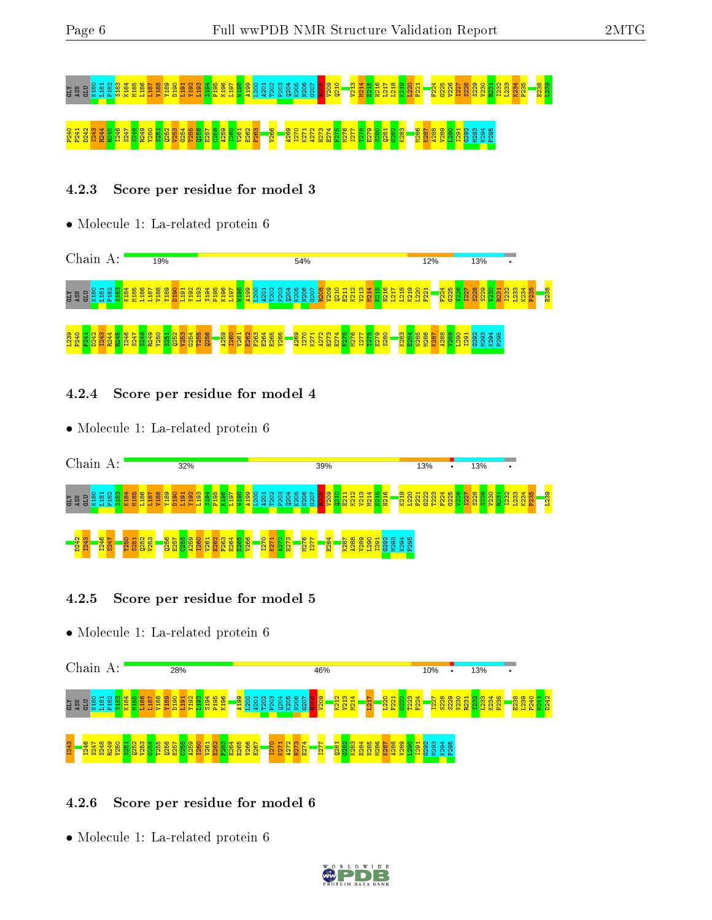# <u>ដ្ឋាន មិន ប្រទេស ស្រុក ស្រុក ស្រុក ស្រុក ស្រុក ស្រុក ស្រុក ស្រុក ស្រុក ស្រុក ស្រុក ស្រុក ស្រុក ស្រុក ស្រុក ស្រ<br>ស្រុក ស្រុក ស្រុក ស្រុក ស្រុក ស្រុក ស្រុក ស្រុក ស្រុក ស្រុក ស្រុក ស្រុក ស្រុក ស្រុក ស្រុក ស្រុក ស្រុក ស្រុក ស</u> P240 P241 D242 I243 R244 R245 I246 S247 S248 R249 Y250 S251 Q252 V253 G254 T255 Q256 E257 C258 A259 I260 V261 E262 F263 V266 A269 I270 K271 A272 H273 E274 F275 M276 I277 T278 E279 S280 Q281 G282 K283 M286 K287 A288 V289 L290 I291 G292 M293 K294 P295

# 4.2.3 Score per residue for model 3

• Molecule 1: La-related protein 6



#### 4.2.4 Score per residue for model 4

• Molecule 1: La-related protein 6



#### 4.2.5 Score per residue for model 5

• Molecule 1: La-related protein 6



#### 4.2.6 Score per residue for model 6

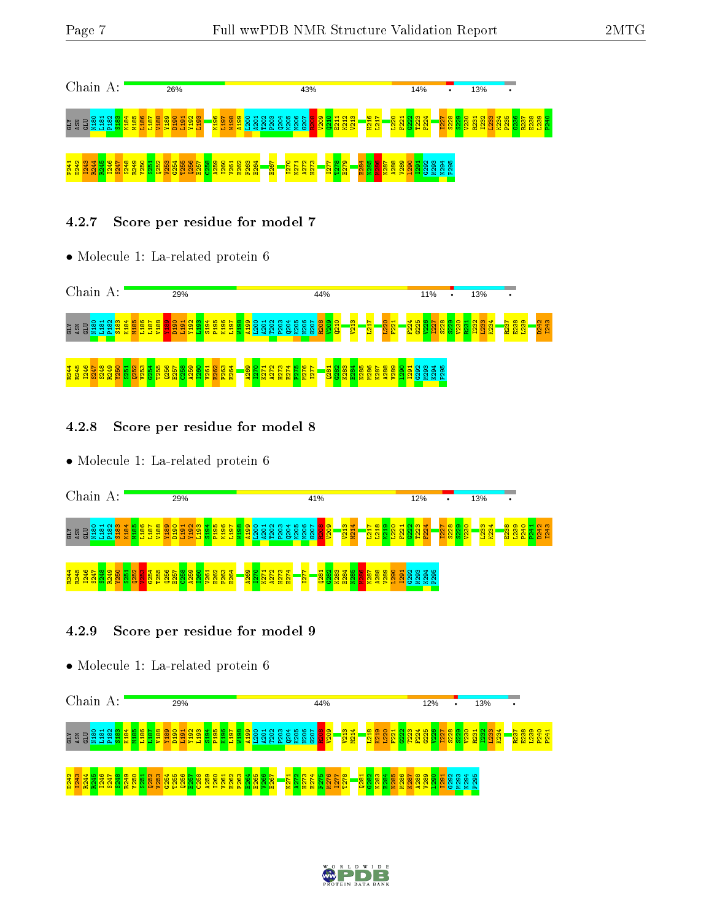

#### 4.2.7 Score per residue for model 7

• Molecule 1: La-related protein 6



#### 4.2.8 Score per residue for model 8

• Molecule 1: La-related protein 6



# 4.2.9 Score per residue for model 9



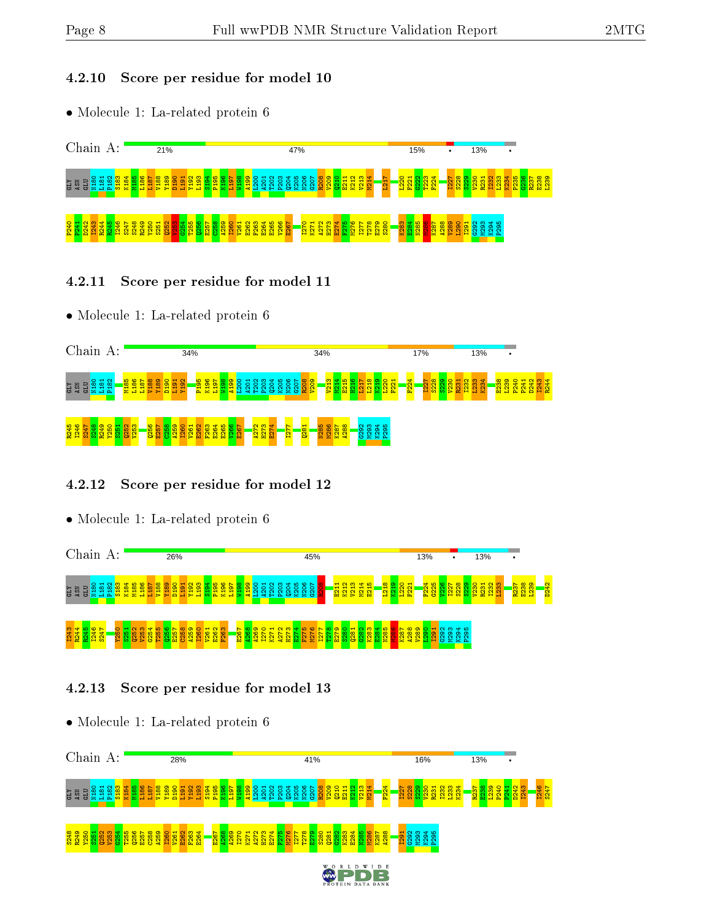#### 4.2.10 Score per residue for model 10

• Molecule 1: La-related protein 6



- 4.2.11 Score per residue for model 11
- Molecule 1: La-related protein 6



# 4.2.12 Score per residue for model 12

• Molecule 1: La-related protein 6



# 4.2.13 Score per residue for model 13

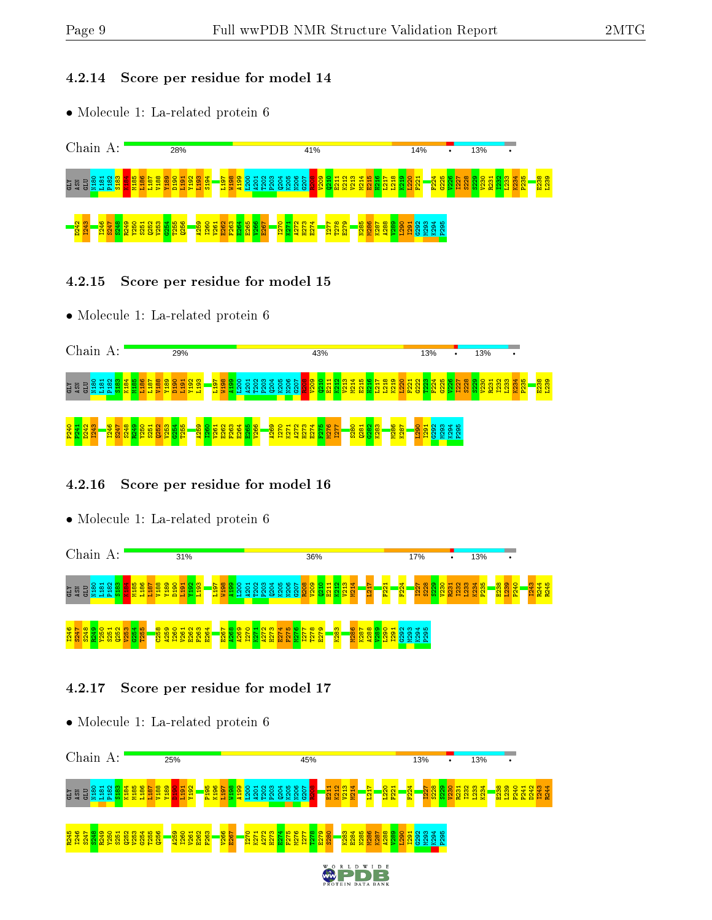#### 4.2.14 Score per residue for model 14

• Molecule 1: La-related protein 6



- 4.2.15 Score per residue for model 15
- Molecule 1: La-related protein 6



#### 4.2.16 Score per residue for model 16

• Molecule 1: La-related protein 6



# 4.2.17 Score per residue for model 17

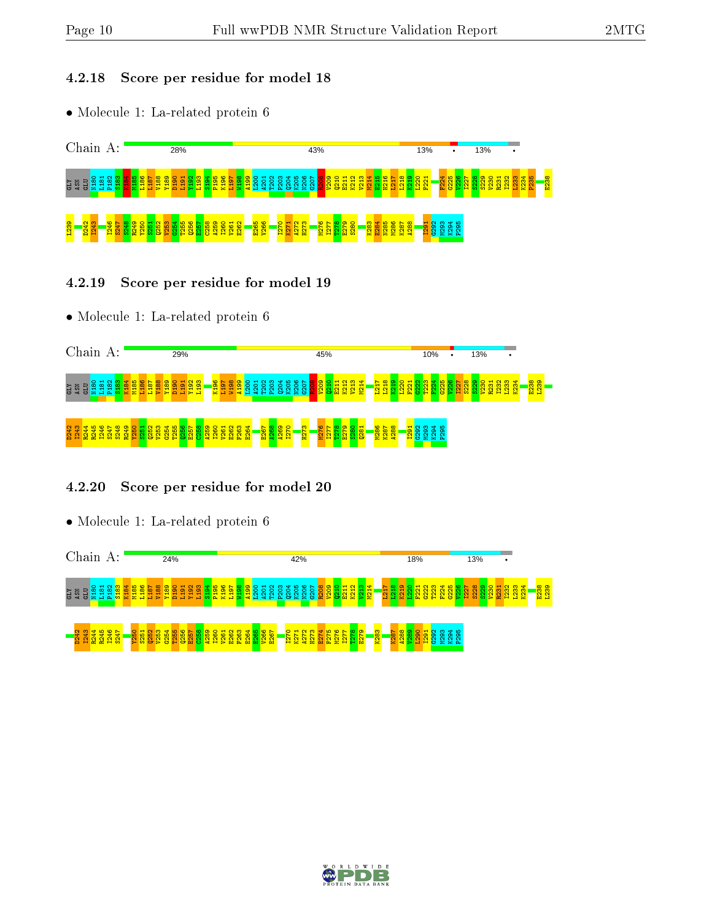#### 4.2.18 Score per residue for model 18

• Molecule 1: La-related protein 6



#### 4.2.19 Score per residue for model 19

• Molecule 1: La-related protein 6

| Chain A:            |         |           |                    |                       |            |             |   |    |                                    |         | 29%              |              |                             |            |                             |         |          |                      |        |                               |              |                        |                                                                                  |     | 45%                   |                  |              |                    |                                |                            |         |    |                                  | 10% |             |                       |              |           | 13% |                   | ٠                                                                 |              |  |
|---------------------|---------|-----------|--------------------|-----------------------|------------|-------------|---|----|------------------------------------|---------|------------------|--------------|-----------------------------|------------|-----------------------------|---------|----------|----------------------|--------|-------------------------------|--------------|------------------------|----------------------------------------------------------------------------------|-----|-----------------------|------------------|--------------|--------------------|--------------------------------|----------------------------|---------|----|----------------------------------|-----|-------------|-----------------------|--------------|-----------|-----|-------------------|-------------------------------------------------------------------|--------------|--|
| ASN<br><b>KTD</b>   | B<br>Б  | $\circ$   | $\sim$ $\sim$<br>∞ | $m +$                 | Ξ          | <u> ယ ယ</u> | ∼ | ۰. | $\infty$ $\infty$<br>$\rightarrow$ | $\circ$ | $\mathbf -$<br>ت | $\mathbf{H}$ | <b>NM</b><br><u>ဇာ</u><br>Ē |            | $\sim$ $\sim$<br>ത<br>로 그 글 |         | $\infty$ | $\sim$<br><b>COL</b> | $\sim$ | $\mathbf{H}$<br>0<br>$\sigma$ | ൶            | ∘                      | $N$ $\omega$ $\Delta$ $\omega$ $\omega$ $\sim$ $\sim$ $\sim$<br>o<br><b>OXZO</b> | - 5 | စ စ ဝ<br><b>SERSE</b> | $-100$           |              | ₩<br>Ξ             | $\sim \infty$<br>$\overline{}$ | ٦Ď                         | $\circ$ | B. | <b>TEM</b>                       | н   | <b>True</b> | 200400L<br>$\sigma >$ | $\mathbf{c}$ | <b>LO</b> | -57 | $\alpha$ $\alpha$ | $\circ$ $\circ$ $\circ$ $\circ$ $\circ$ $\circ$ $\circ$<br>오<br>А | E239<br>L239 |  |
| a,<br>ಞ<br><b>P</b> | Ż.<br>2 | 兽<br>-일 입 | おお                 | <u> 유.</u><br>ு<br>ò. | <b>ALC</b> |             | ð |    | œ                                  | е       |                  | <b>TEL</b>   | c                           | <b>ALC</b> | 욥                           | −<br>51 | o<br>8   | G<br>운 원             |        |                               | <u>ଷ ହାସ</u> | <mark>នននី</mark><br>₽ | CO.<br>$\overline{\phantom{0}}$<br>₽                                             |     | ۰<br>N<br>g<br>Ħ      | െ<br>∞<br>c<br>P | 0<br>∞<br>固防 | −<br>$\infty$<br>ä | 일 있                            | <mark>ಜಿ ಜ ಜ</mark> ಿ<br>Q |         |    | $\frac{7}{5}$ 83<br><b>I</b> tal |     | ◅<br>െ      | ഥ<br>െ                |              |           |     |                   |                                                                   |              |  |

# 4.2.20 Score per residue for model 20



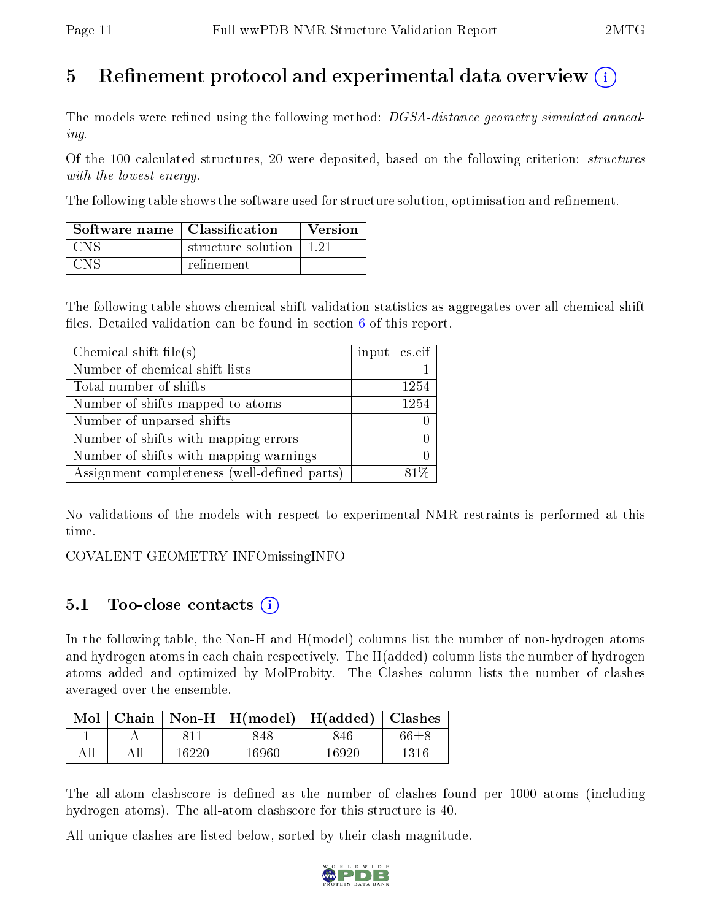# 5 Refinement protocol and experimental data overview  $\left( \cdot \right)$

The models were refined using the following method: DGSA-distance geometry simulated annealing.

Of the 100 calculated structures, 20 were deposited, based on the following criterion: *structures* with the lowest energy.

The following table shows the software used for structure solution, optimisation and refinement.

| Software name   Classification |                    | Version |
|--------------------------------|--------------------|---------|
| <b>CNS</b>                     | structure solution | 1 21    |
| CNS                            | refinement         |         |

The following table shows chemical shift validation statistics as aggregates over all chemical shift files. Detailed validation can be found in section  $6$  of this report.

| Chemical shift file(s)                       | input cs.cif |
|----------------------------------------------|--------------|
| Number of chemical shift lists               |              |
| Total number of shifts                       | 1254         |
| Number of shifts mapped to atoms             | 1254         |
| Number of unparsed shifts                    |              |
| Number of shifts with mapping errors         |              |
| Number of shifts with mapping warnings       |              |
| Assignment completeness (well-defined parts) |              |

No validations of the models with respect to experimental NMR restraints is performed at this time.

COVALENT-GEOMETRY INFOmissingINFO

# $5.1$  Too-close contacts  $(i)$

In the following table, the Non-H and H(model) columns list the number of non-hydrogen atoms and hydrogen atoms in each chain respectively. The H(added) column lists the number of hydrogen atoms added and optimized by MolProbity. The Clashes column lists the number of clashes averaged over the ensemble.

|  |       | Mol   Chain   Non-H   H(model)   H(added)   Clashes |       |      |
|--|-------|-----------------------------------------------------|-------|------|
|  |       | 848                                                 | 846   | 66±8 |
|  | 16220 | 16960                                               | 16920 | 1316 |

The all-atom clashscore is defined as the number of clashes found per 1000 atoms (including hydrogen atoms). The all-atom clashscore for this structure is 40.

All unique clashes are listed below, sorted by their clash magnitude.

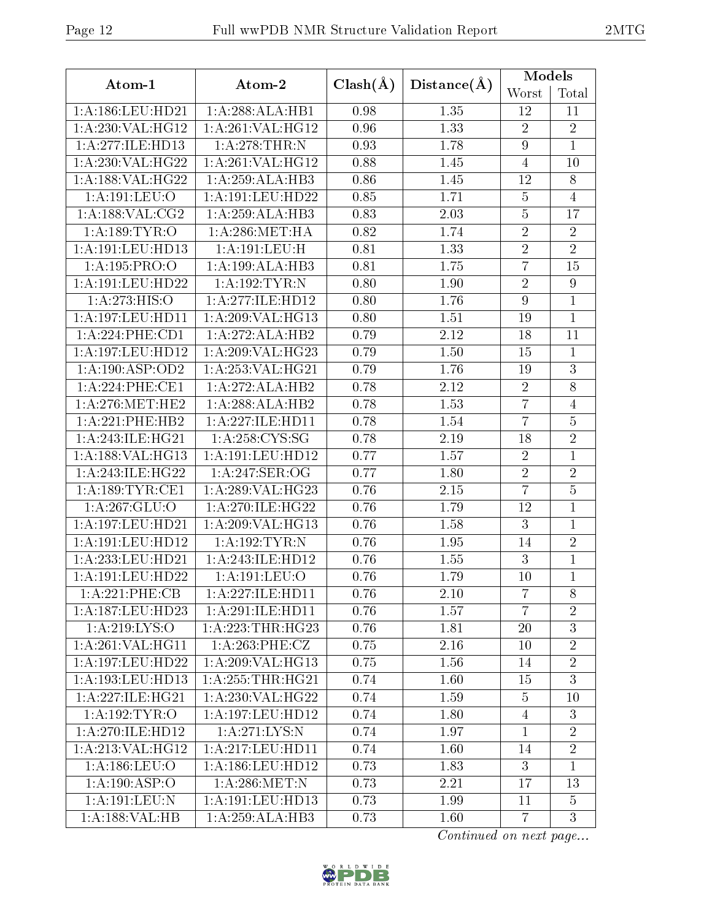|                     |                     |                   | Models      |                  |                 |
|---------------------|---------------------|-------------------|-------------|------------------|-----------------|
| Atom-1              | Atom-2              | $Clash(\AA)$      | Distance(A) | Worst            | Total           |
| 1:A:186:LEU:HD21    | 1:A:288:ALA:HB1     | 0.98              | 1.35        | 12               | 11              |
| 1:A:230:VAL:HG12    | 1:A:261:VAL:HG12    | 0.96              | 1.33        | $\overline{2}$   | $\overline{2}$  |
| 1:A:277:ILE:HD13    | 1: A:278:THR:N      | 0.93              | 1.78        | $\boldsymbol{9}$ | $\overline{1}$  |
| 1:A:230:VAL:HG22    | 1:A:261:VAL:HG12    | 0.88              | 1.45        | $\overline{4}$   | 10              |
| 1:A:188:VAL:HG22    | 1:A:259:ALA:HB3     | 0.86              | 1.45        | 12               | 8               |
| 1: A: 191: LEU: O   | 1: A:191:LEU:HD22   | 0.85              | 1.71        | $\bf 5$          | $\overline{4}$  |
| 1:A:188:VAL:CG2     | 1:A:259:ALA:HB3     | 0.83              | 2.03        | $\bf 5$          | 17              |
| 1: A:189:TYR:O      | 1: A:286: MET:HA    | 0.82              | 1.74        | $\sqrt{2}$       | $\sqrt{2}$      |
| 1:A:191:LEU:HD13    | 1:A:191:LEU:H       | 0.81              | 1.33        | $\overline{2}$   | $\overline{2}$  |
| 1:A:195:PRO:O       | 1:A:199:ALA:HB3     | 0.81              | 1.75        | $\overline{7}$   | $\overline{15}$ |
| 1:A:191:LEU:HD22    | 1:A:192:TYR:N       | 0.80              | 1.90        | $\overline{2}$   | $\overline{9}$  |
| 1: A:273:HIS:O      | 1: A:277: ILE: HD12 | $\overline{0.80}$ | 1.76        | $\overline{9}$   | $\mathbf{1}$    |
| 1:A:197:LEU:HD11    | 1:A:209:VAL:HG13    | 0.80              | 1.51        | 19               | $\mathbf{1}$    |
| 1: A:224:PHE:CD1    | 1:A:272:ALA:HB2     | 0.79              | 2.12        | 18               | 11              |
| 1:A:197:LEU:HD12    | 1:A:209:VAL:HG23    | 0.79              | 1.50        | 15               | 1               |
| 1:A:190:ASP:OD2     | 1:A:253:VAL:HG21    | 0.79              | 1.76        | 19               | 3               |
| 1:A:224:PHE:CE1     | 1:A:272:ALA:HB2     | 0.78              | 2.12        | $\sqrt{2}$       | $\overline{8}$  |
| 1: A:276:MET:HE2    | 1:A:288:ALA:HB2     | 0.78              | 1.53        | 7                | $\overline{4}$  |
| 1:A:221:PHE:HB2     | 1:A:227:ILE:HD11    | 0.78              | 1.54        | 7                | $\bf 5$         |
| 1:A:243:ILE:HG21    | 1: A:258:CYS:SG     | 0.78              | 2.19        | 18               | $\overline{2}$  |
| 1:A:188:VAL:HG13    | 1: A:191:LEU:HD12   | 0.77              | 1.57        | $\sqrt{2}$       | $\mathbf{1}$    |
| 1:A:243:ILE:HG22    | 1:A:247:SER:OG      | 0.77              | 1.80        | $\overline{2}$   | $\overline{2}$  |
| 1: A: 189: TYR: CE1 | 1:A:289:VAL:HG23    | 0.76              | 2.15        | $\overline{7}$   | $\overline{5}$  |
| 1:A:267:GLU:O       | 1:A:270:ILE:HG22    | 0.76              | 1.79        | 12               | $\mathbf{1}$    |
| 1:A:197:LEU:HD21    | 1:A:209:VAL:HG13    | 0.76              | 1.58        | 3                | $\mathbf{1}$    |
| 1:A:191:LEU:HD12    | 1:A:192:TYR:N       | 0.76              | 1.95        | 14               | $\overline{2}$  |
| 1:A:233:LEU:HD21    | 1:A:243:ILE:HD12    | 0.76              | 1.55        | 3                | $\mathbf{1}$    |
| 1:A:191:LEU:HD22    | 1: A: 191: LEU: O   | 0.76              | 1.79        | 10               | $\mathbf 1$     |
| 1:A:221:PHE:CB      | 1:A:227:ILE:HD11    | 0.76              | 2.10        | $\overline{7}$   | 8               |
| 1:A:187:LEU:HD23    | 1:A:291:ILE:HD11    | 0.76              | 1.57        | $\overline{7}$   | $\overline{2}$  |
| 1: A:219: LYS:O     | 1:A:223:THR:HG23    | 0.76              | 1.81        | 20               | 3               |
| 1: A:261:VAL:HG11   | 1:A:263:PHE:CZ      | 0.75              | 2.16        | 10               | $\sqrt{2}$      |
| 1:A:197:LEU:HD22    | 1:A:209:VAL:HG13    | 0.75              | 1.56        | 14               | $\overline{2}$  |
| 1:A:193:LEU:HD13    | 1: A:255:THR:HG21   | 0.74              | 1.60        | 15               | $\overline{3}$  |
| 1:A:227:ILE:HG21    | 1:A:230:VAL:HG22    | 0.74              | 1.59        | $\overline{5}$   | 10              |
| 1: A:192:TYR:O      | 1: A:197: LEU: HD12 | 0.74              | 1.80        | $\overline{4}$   | 3               |
| 1:A:270:ILE:HD12    | 1: A:271: LYS: N    | 0.74              | 1.97        | $\mathbf{1}$     | $\overline{2}$  |
| 1: A:213: VAL:HG12  | 1:A:217:LEU:HD11    | 0.74              | 1.60        | 14               | $\overline{2}$  |
| 1:A:186:LEU:O       | 1:A:186:LEU:HD12    | 0.73              | 1.83        | 3                | $\mathbf{1}$    |
| 1:A:190:ASP:O       | 1: A:286:MET:N      | 0.73              | 2.21        | 17               | 13              |
| 1:A:191:LEU:N       | 1:A:191:LEU:HD13    | 0.73              | 1.99        | 11               | $\overline{5}$  |
| 1:A:188:VAL:HB      | 1:A:259:ALA:HB3     | 0.73              | 1.60        | $\overline{7}$   | 3               |

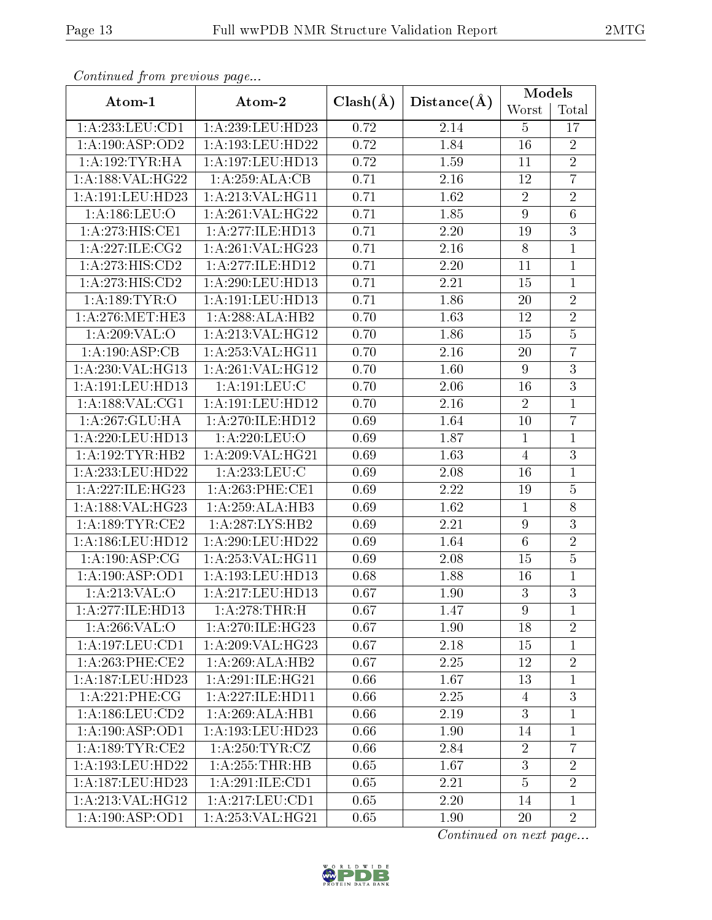| Continued from previous page |                     |              | <b>Models</b>     |                  |                  |
|------------------------------|---------------------|--------------|-------------------|------------------|------------------|
| Atom-1                       | Atom-2              | $Clash(\AA)$ | Distance(A)       | Worst            | Total            |
| 1:A:233:LEU:CD1              | 1:A:239:LEU:HD23    | 0.72         | 2.14              | $\overline{5}$   | 17               |
| 1: A: 190: ASP: OD2          | 1:A:193:LEU:HD22    | 0.72         | 1.84              | 16               | $\sqrt{2}$       |
| 1: A: 192: TYR: HA           | 1:A:197:LEU:HD13    | 0.72         | 1.59              | 11               | $\overline{2}$   |
| 1:A:188:VAL:HG22             | 1: A:259:ALA:CB     | 0.71         | 2.16              | 12               | $\overline{7}$   |
| 1:A:191:LEU:HD23             | 1:A:213:VAL:HG11    | 0.71         | 1.62              | $\overline{2}$   | $\sqrt{2}$       |
| 1: A: 186: LEU: O            | 1:A:261:VAL:HG22    | 0.71         | 1.85              | $\overline{9}$   | $\overline{6}$   |
| 1: A:273:HIS:CE1             | 1:A:277:ILE:HD13    | 0.71         | 2.20              | 19               | $\overline{3}$   |
| 1:A:227:ILE:CG2              | 1:A:261:VAL:HG23    | 0.71         | 2.16              | 8                | $\mathbf{1}$     |
| 1:A:273:HIS:CD2              | 1:A:277:ILE:HD12    | 0.71         | 2.20              | 11               | $\mathbf{1}$     |
| $1:A:273:H1\overline{S:CD2}$ | 1:A:290:LEU:HD13    | 0.71         | 2.21              | 15               | $\mathbf{1}$     |
| 1: A:189: TYR:O              | 1:A:191:LEU:HD13    | 0.71         | 1.86              | $20\,$           | $\overline{2}$   |
| 1: A:276:MET:HE3             | 1:A:288:ALA:HB2     | 0.70         | 1.63              | 12               | $\overline{2}$   |
| 1:A:209:VAL:O                | 1:A:213:VAL:HG12    | 0.70         | 1.86              | 15               | $\bf 5$          |
| 1:A:190:ASP:CB               | 1:A:253:VAL:HG11    | 0.70         | 2.16              | 20               | $\overline{7}$   |
| 1:A:230:VAL:HG13             | 1: A:261:VAL:HG12   | 0.70         | 1.60              | $9\phantom{.}$   | $\overline{3}$   |
| 1:A:191:LEU:HD13             | 1:A:191:LEU:C       | 0.70         | 2.06              | 16               | $\overline{3}$   |
| 1: A: 188: VAL: CG1          | 1: A:191:LEU:HD12   | 0.70         | 2.16              | $\overline{2}$   | $\mathbf{1}$     |
| 1:A:267:GLU:HA               | 1:A:270:ILE:HD12    | 0.69         | 1.64              | 10               | $\overline{7}$   |
| 1:A:220:LEU:HD13             | 1:A:220:LEU:O       | 0.69         | 1.87              | $\mathbf{1}$     | $\mathbf{1}$     |
| 1: A: 192: TYR: HB2          | 1:A:209:VAL:HG21    | 0.69         | 1.63              | $\overline{4}$   | 3                |
| 1:A:233:LEU:HD22             | 1:A:233:LEU:C       | 0.69         | 2.08              | 16               | $\mathbf{1}$     |
| 1:A:227:ILE:HG23             | 1: A:263:PHE:CE1    | 0.69         | 2.22              | 19               | $\overline{5}$   |
| 1:A:188:VAL:HG23             | 1:A:259:ALA:HB3     | 0.69         | $\overline{1.62}$ | $\mathbf{1}$     | $\overline{8}$   |
| 1: A: 189: TYR: CE2          | 1:A:287:LYS:HB2     | 0.69         | 2.21              | $\boldsymbol{9}$ | $\overline{3}$   |
| 1:A:186:LEU:HD12             | 1:A:290:LEU:HD22    | 0.69         | 1.64              | $6\phantom{.}6$  | $\overline{2}$   |
| 1:A:190:ASP:CG               | 1:A:253:VAL:HG11    | 0.69         | 2.08              | 15               | $\overline{5}$   |
| 1:A:190:ASP:OD1              | 1:A:193:LEU:HD13    | 0.68         | 1.88              | 16               | $\mathbf{1}$     |
| 1:A:213:VAL:O                | 1:A:217:LEU:HD13    | 0.67         | 1.90              | 3                | $\overline{3}$   |
| 1:A:277:ILE:HD13             | 1:A:278:THR:H       | 0.67         | 1.47              | 9                | $\mathbf{1}$     |
| 1:A:266:VAL:O                | 1: A:270: ILE: HG23 | 0.67         | 1.90              | 18               | $\sqrt{2}$       |
| 1:A:197:LEU:CD1              | 1:A:209:VAL:HG23    | 0.67         | 2.18              | 15               | $\mathbf{1}$     |
| $1: A:263:$ PHE:CE2          | 1:A:269:ALA:HB2     | 0.67         | 2.25              | 12               | $\sqrt{2}$       |
| 1:A:187:LEU:HD23             | 1: A:291:ILE:HG21   | 0.66         | 1.67              | 13               | $\mathbf{1}$     |
| 1:A:221:PHE:CG               | 1: A:227: ILE: HD11 | 0.66         | 2.25              | 4                | $\boldsymbol{3}$ |
| 1: A: 186: LEU: CD2          | 1:A:269:ALA:HB1     | 0.66         | 2.19              | 3                | $\mathbf{1}$     |
| 1: A: 190: ASP: OD1          | 1:A:193:LEU:HD23    | 0.66         | 1.90              | 14               | $\mathbf{1}$     |
| 1:A:189:TYR:CE2              | 1: A:250: TYR: CZ   | 0.66         | 2.84              | $\overline{2}$   | $\overline{7}$   |
| 1:A:193:LEU:HD22             | 1:A:255:THR:HB      | 0.65         | 1.67              | 3                | $\sqrt{2}$       |
| 1:A:187:LEU:HD23             | 1:A:291:ILE:CD1     | 0.65         | 2.21              | $\overline{5}$   | $\overline{2}$   |
| 1:A:213:VAL:HG12             | 1:A:217:LEU:CD1     | 0.65         | 2.20              | 14               | $\mathbf{1}$     |
| 1:A:190:ASP:OD1              | 1:A:253:VAL:HG21    | 0.65         | 1.90              | 20               | $\overline{2}$   |

 $Confinued$  from previce

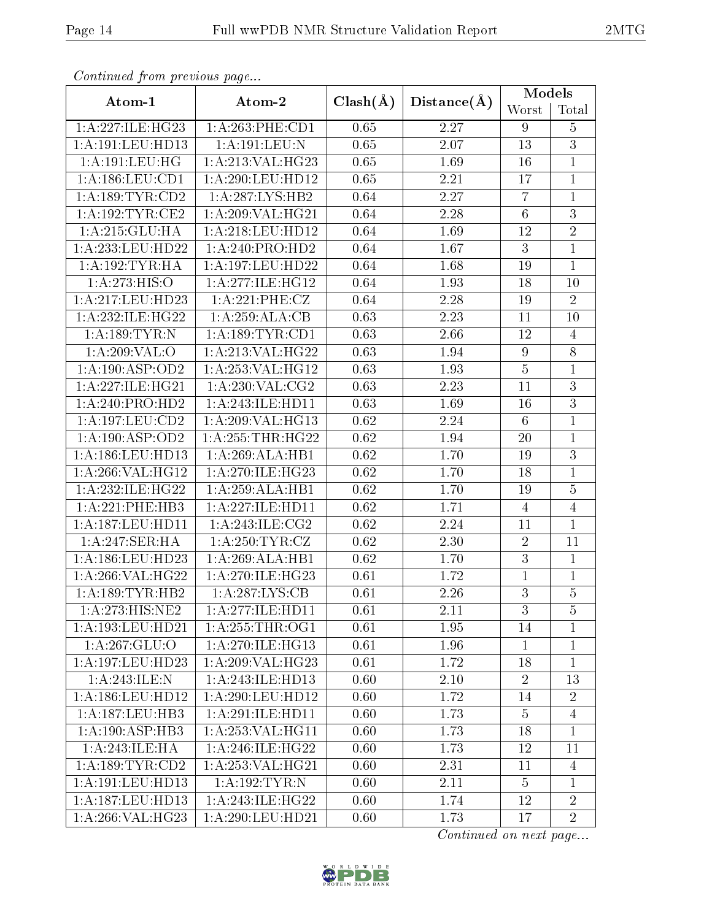| Continued from previous page |                                      |                   |                   | <b>Models</b>    |                |
|------------------------------|--------------------------------------|-------------------|-------------------|------------------|----------------|
| Atom-1                       | Atom-2                               | $Clash(\AA)$      | Distance(A)       | Worst            | Total          |
| 1:A:227:ILE:HG23             | $1: A:263:$ PHE:CD1                  | 0.65              | 2.27              | 9                | $\overline{5}$ |
| 1:A:191:LEU:HD13             | 1:A:191:LEU:N                        | 0.65              | 2.07              | 13               | $\overline{3}$ |
| 1:A:191:LEU:HG               | 1:A:213:VAL:HG23                     | 0.65              | 1.69              | 16               | $\mathbf{1}$   |
| 1:A:186:LEU:CD1              | 1:A:290:LEU:HD12                     | 0.65              | 2.21              | 17               | $\mathbf{1}$   |
| 1: A: 189: TYR: CD2          | 1:A:287:LYS:HB2                      | 0.64              | 2.27              | $\overline{7}$   | $\mathbf{1}$   |
| 1: A:192:TYR:CE2             | 1:A:209:VAL:HG21                     | 0.64              | $\overline{2.28}$ | $\overline{6}$   | $\overline{3}$ |
| 1:A:215:GLU:HA               | 1:A:218:LEU:HD12                     | 0.64              | 1.69              | 12               | $\overline{2}$ |
| 1:A:233:LEU:HD22             | 1:A:240:PRO:HD2                      | 0.64              | 1.67              | 3                | $\mathbf{1}$   |
| 1: A: 192: TYR: HA           | 1:A:197:LEU:HD22                     | 0.64              | 1.68              | 19               | $\mathbf{1}$   |
| $1:A:273:HIS:\overline{O}$   | 1:A:277:ILE:HG12                     | 0.64              | 1.93              | 18               | 10             |
| 1:A:217:LEU:HD23             | 1:A:221:PHE:CZ                       | 0.64              | 2.28              | 19               | $\overline{2}$ |
| 1:A:232:ILE:HG22             | 1:A:259:ALA:CB                       | 0.63              | 2.23              | 11               | 10             |
| 1: A: 189: TYR: N            | 1: A: 189: TYR: CD1                  | 0.63              | 2.66              | 12               | $\overline{4}$ |
| 1:A:209:VAL:O                | 1:A:213:VAL:HG22                     | 0.63              | 1.94              | $\boldsymbol{9}$ | 8              |
| 1:A:190:ASP:OD2              | 1:A:253:VAL:HG12                     | 0.63              | 1.93              | $\bf 5$          | $\overline{1}$ |
| 1:A:227:ILE:HG21             | 1: A:230: VAL: CG2                   | 0.63              | 2.23              | 11               | $\overline{3}$ |
| 1: A:240:PRO:HD2             | 1:A:243:ILE:HD11                     | 0.63              | 1.69              | 16               | $\overline{3}$ |
| 1: A: 197: LEU: CD2          | 1:A:209:VAL:HG13                     | $\overline{0.62}$ | 2.24              | $6\phantom{.}6$  | $\mathbf{1}$   |
| 1:A:190:ASP:OD2              | 1: A: 255: THR: HG22                 | 0.62              | 1.94              | 20               | $\mathbf{1}$   |
| 1:A:186:LEU:HD13             | 1:A:269:ALA:HB1                      | 0.62              | 1.70              | 19               | $\overline{3}$ |
| 1:A:266:VAL:HG12             | 1: A:270: ILE: HG23                  | 0.62              | 1.70              | 18               | $\mathbf{1}$   |
| 1:A:232:ILE:HG22             | 1:A:259:ALA:HB1                      | 0.62              | 1.70              | 19               | $\overline{5}$ |
| 1:A:221:PHE:HB3              | $1:A:227:\overline{\text{ILE:HDI1}}$ | $\overline{0.62}$ | 1.71              | $\overline{4}$   | $\overline{4}$ |
| 1: A: 187: LEU: HD11         | 1: A:243: ILE:CG2                    | 0.62              | 2.24              | 11               | $\overline{1}$ |
| 1:A:247:SER:HA               | 1: A:250: TYR: CZ                    | 0.62              | 2.30              | $\overline{2}$   | 11             |
| 1:A:186:LEU:HD23             | 1:A:269:ALA:HB1                      | 0.62              | 1.70              | $\overline{3}$   | $\mathbf{1}$   |
| 1:A:266:VAL:HG22             | 1:A:270:ILE:HG23                     | 0.61              | 1.72              | $\mathbf{1}$     | $\mathbf{1}$   |
| 1: A: 189: TYR: HB2          | $1:A:287:\overline{\text{LYS:CB}}$   | 0.61              | 2.26              | $\overline{3}$   | $\overline{5}$ |
| 1:A:273:HIS:NE2              | 1:A:277:ILE:HD11                     | 0.61              | 2.11              | 3                | $\overline{5}$ |
| 1:A:193:LEU:HD21             | 1: A:255:THR:OG1                     | 0.61              | 1.95              | 14               | $\mathbf 1$    |
| 1: A:267: GLU:O              | 1: A:270: ILE: HG13                  | 0.61              | 1.96              | $\mathbf{1}$     | $\mathbf{1}$   |
| 1:A:197:LEU:HD23             | 1:A:209:VAL:HG23                     | 0.61              | 1.72              | 18               | $\mathbf{1}$   |
| 1: A:243: ILE:N              | 1:A:243:ILE:HD13                     | 0.60              | $2.10\,$          | $\overline{2}$   | 13             |
| 1: A: 186: LEU: HD12         | 1: A:290:LEU:HD12                    | 0.60              | 1.72              | 14               | $\sqrt{2}$     |
| 1: A:187:LEU:HB3             | 1:A:291:ILE:HD11                     | 0.60              | 1.73              | $\overline{5}$   | $\overline{4}$ |
| 1:A:190:ASP:HB3              | 1:A:253:VAL:HG11                     | 0.60              | 1.73              | 18               | $\mathbf{1}$   |
| 1:A:243:ILE:HA               | 1:A:246:ILE:HG22                     | 0.60              | 1.73              | 12               | 11             |
| 1: A: 189: TYR: CD2          | 1:A:253:VAL:HG21                     | 0.60              | 2.31              | 11               | $\overline{4}$ |
| 1:A:191:LEU:HD13             | 1:A:192:TYR:N                        | 0.60              | 2.11              | $\overline{5}$   | $\mathbf{1}$   |
| 1:A:187:LEU:HD13             | 1:A:243:ILE:HG22                     | 0.60              | 1.74              | 12               | $\overline{2}$ |
| 1:A:266:VAL:HG23             | 1:A:290:LEU:HD21                     | 0.60              | 1.73              | 17               | $\overline{2}$ |

 $Confinued$  from previce

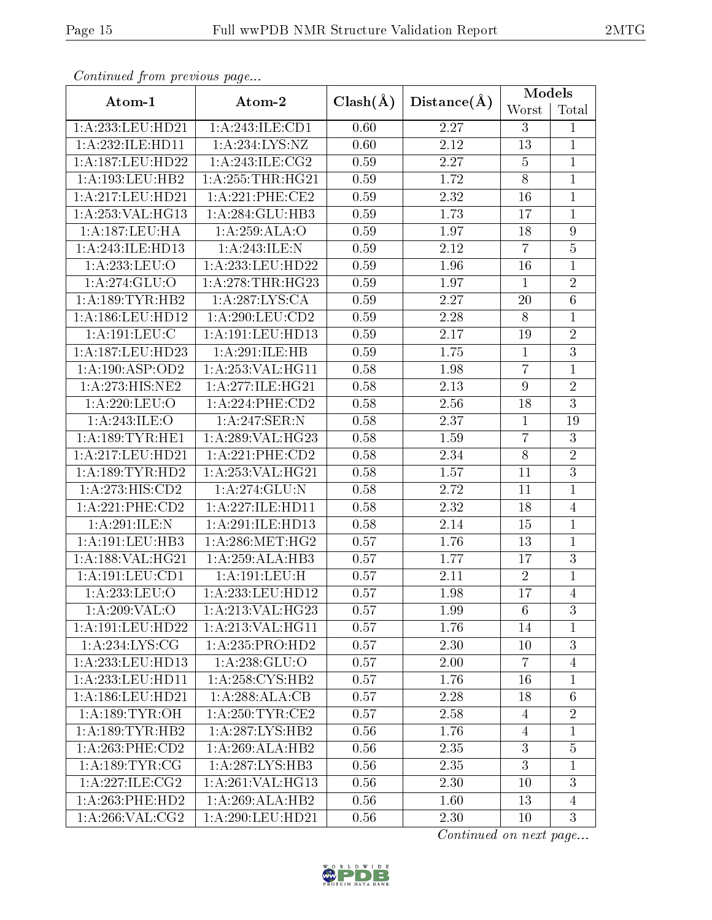|--|--|

| Continued from previous page      |                      |              |             | Models           |                 |
|-----------------------------------|----------------------|--------------|-------------|------------------|-----------------|
| Atom-1                            | Atom-2               | $Clash(\AA)$ | Distance(A) | Worst            | Total           |
| 1:A:233:LEU:HD21                  | 1:A:243:ILE:CD1      | 0.60         | 2.27        | 3                | $\mathbf 1$     |
| 1:A:232:ILE:HD11                  | 1:A:234:LYS:NZ       | 0.60         | 2.12        | 13               | $\mathbf{1}$    |
| 1:A:187:LEU:HD22                  | 1: A:243: ILE: CG2   | 0.59         | 2.27        | $\overline{5}$   | $\mathbf{1}$    |
| 1:A:193:LEU:HB2                   | 1: A: 255: THR: HG21 | 0.59         | 1.72        | $\overline{8}$   | $\mathbf{1}$    |
| 1:A:217:LEU:HD21                  | 1:A:221:PHE:CE2      | 0.59         | 2.32        | 16               | $\mathbf 1$     |
| 1:A:253:VAL:HG13                  | 1:A:284:GLU:HB3      | 0.59         | 1.73        | 17               | $\mathbf{1}$    |
| 1:A:187:LEU:HA                    | 1: A:259: ALA:O      | 0.59         | 1.97        | 18               | $\overline{9}$  |
| 1:A:243:ILE:HD13                  | 1:A:243:ILE:N        | 0.59         | 2.12        | $\overline{7}$   | $\overline{5}$  |
| $1:A:\overline{233:LEU:O}$        | 1:A:233:LEU:HD22     | 0.59         | 1.96        | 16               | $\mathbf 1$     |
| 1:A:274:GLU:O                     | 1: A:278:THR:HG23    | 0.59         | 1.97        | $\mathbf{1}$     | $\sqrt{2}$      |
| 1: A: 189: TYR: HB2               | 1: A:287:LYS:CA      | 0.59         | 2.27        | 20               | $\overline{6}$  |
| 1:A:186:LEU:HD12                  | 1: A:290:LEU:CD2     | 0.59         | 2.28        | 8                | $\mathbf{1}$    |
| 1:A:191:LEU:C                     | 1: A: 191: LEU: HD13 | 0.59         | 2.17        | 19               | $\sqrt{2}$      |
| 1:A:187:LEU:HD23                  | 1:A:291:ILE:HB       | 0.59         | 1.75        | $\mathbf{1}$     | $\overline{3}$  |
| 1: A: 190: ASP: OD2               | 1:A:253:VAL:HG11     | 0.58         | 1.98        | $\overline{7}$   | $\mathbf{1}$    |
| 1:A:273:HIS:NE2                   | 1:A:277:ILE:HG21     | 0.58         | 2.13        | $\boldsymbol{9}$ | $\overline{2}$  |
| 1:A:220:LEU:O                     | 1:A:224:PHE:CD2      | 0.58         | 2.56        | 18               | $\overline{3}$  |
| $1:A:243:\overline{\text{ILE}:O}$ | 1:A:247:SER:N        | 0.58         | 2.37        | $\mathbf{1}$     | 19              |
| 1: A:189:TYR:HE1                  | 1:A:289:VAL:HG23     | 0.58         | 1.59        | $\overline{7}$   | 3               |
| 1:A:217:LEU:HD21                  | 1:A:221:PHE:CD2      | 0.58         | 2.34        | $8\,$            | $\overline{2}$  |
| 1: A: 189: TYR: HD2               | 1:A:253:VAL:HG21     | 0.58         | 1.57        | 11               | $\overline{3}$  |
| 1:A:273:HIS:CD2                   | 1:A:274:GLU:N        | 0.58         | 2.72        | 11               | $\mathbf{1}$    |
| 1:A:221:PHE:CD2                   | 1:A:227:ILE:HD11     | 0.58         | 2.32        | 18               | $\overline{4}$  |
| 1:A:291:ILE:N                     | 1:A:291:ILE:HD13     | 0.58         | 2.14        | 15               | $\mathbf{1}$    |
| 1:A:191:LEU:HB3                   | 1: A:286:MET:HG2     | 0.57         | 1.76        | 13               | $\mathbf{1}$    |
| 1:A:188:VAL:HG21                  | 1:A:259:ALA:HB3      | 0.57         | 1.77        | 17               | 3               |
| 1:A:191:LEU:CD1                   | 1:A:191:LEU:H        | 0.57         | 2.11        | $\overline{2}$   | $\mathbf{1}$    |
| 1:A:233:LEU:O                     | 1:A:233:LEU:HD12     | 0.57         | 1.98        | 17               | $\overline{4}$  |
| 1: A:209: VAL:O                   | 1:A:213:VAL:HG23     | 0.57         | 1.99        | $6\phantom{.}6$  | 3               |
| 1:A:191:LEU:HD22                  | 1:A:213:VAL:HG11     | 0.57         | 1.76        | 14               | 1               |
| 1: A:234: LYS: CG                 | 1:A:235:PRO:HD2      | 0.57         | 2.30        | 10               | $\overline{3}$  |
| 1:A:233:LEU:HD13                  | 1: A: 238: GLU:O     | 0.57         | 2.00        | $\overline{7}$   | 4               |
| 1:A:233:LEU:HD11                  | 1:A:258:CYS:HB2      | 0.57         | 1.76        | 16               | $\mathbf{1}$    |
| 1:A:186:LEU:HD21                  | 1:A:288:ALA:CB       | 0.57         | 2.28        | 18               | $6\phantom{.}6$ |
| 1: A: 189: TYR: OH                | 1: A:250:TTR:CE2     | 0.57         | 2.58        | $\overline{4}$   | $\overline{2}$  |
| 1: A: 189: TYR: HB2               | 1: A: 287: LYS: HB2  | 0.56         | 1.76        | $\overline{4}$   | $\mathbf{1}$    |
| 1:A:263:PHE:CD2                   | 1:A:269:ALA:HB2      | 0.56         | 2.35        | 3                | $\overline{5}$  |
| 1: A: 189: TYR: CG                | 1: A:287:LYS:HB3     | 0.56         | 2.35        | 3                | $\mathbf 1$     |
| 1: A:227: ILE: CG2                | 1: A:261:VAL:HG13    | 0.56         | 2.30        | 10               | 3               |
| 1:A:263:PHE:HD2                   | 1:A:269:ALA:HB2      | 0.56         | 1.60        | 13               | $\overline{4}$  |
| 1: A:266: VAL: CG2                | 1:A:290:LEU:HD21     | 0.56         | 2.30        | 10               | 3               |

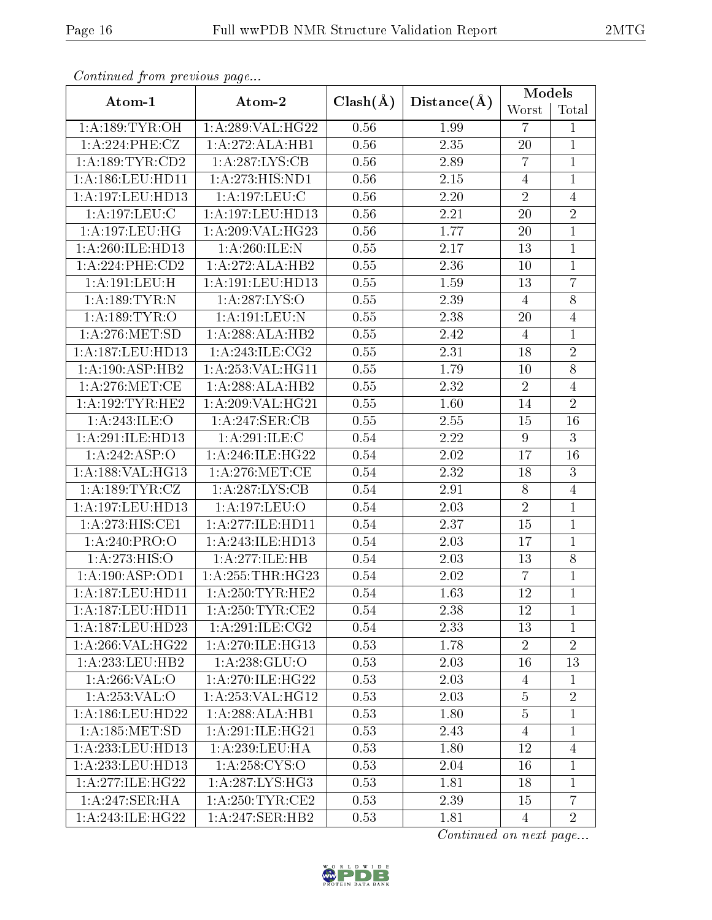| Continued from previous page |                                      |              |                   | Models         |                |
|------------------------------|--------------------------------------|--------------|-------------------|----------------|----------------|
| Atom-1                       | Atom-2                               | $Clash(\AA)$ | Distance(A)       | Worst          | Total          |
| 1: A: 189: TYR: OH           | 1:A:289:VAL:HG22                     | 0.56         | 1.99              | $\overline{7}$ | $\mathbf 1$    |
| 1:A:224:PHE:CZ               | 1:A:272:ALA:HB1                      | 0.56         | 2.35              | 20             | $\mathbf{1}$   |
| 1:A:189:TYR:CD2              | 1:A:287:LYS:CB                       | 0.56         | 2.89              | $\overline{7}$ | $\mathbf{1}$   |
| 1:A:186:LEU:HD11             | 1: A:273:HIS:ND1                     | 0.56         | 2.15              | $\overline{4}$ | $\mathbf{1}$   |
| 1:A:197:LEU:HD13             | 1: A: 197: LEU: C                    | 0.56         | 2.20              | $\overline{2}$ | $\overline{4}$ |
| 1:A:197:LEU:C                | 1:A:197:LEU:HD13                     | 0.56         | 2.21              | 20             | $\sqrt{2}$     |
| 1:A:197:LEU:HG               | 1:A:209:VAL:HG23                     | 0.56         | 1.77              | 20             | $\mathbf{1}$   |
| 1:A:260:ILE:HD13             | 1: A:260: ILE:N                      | 0.55         | 2.17              | 13             | $\mathbf{1}$   |
| $1: A:224:$ PHE:CD2          | 1:A:272:ALA:HB2                      | $0.55\,$     | 2.36              | 10             | $\mathbf{1}$   |
| $1:$ A:191:LEU:H             | $1:\overline{A}:191:\text{LEU}:HD13$ | $0.55\,$     | 1.59              | 13             | $\overline{7}$ |
| 1: A: 189: TYR: N            | 1:A:287:LYS:O                        | 0.55         | 2.39              | $\overline{4}$ | $\overline{8}$ |
| 1: A: 189: TYR: O            | 1:A:191:LEU:N                        | 0.55         | 2.38              | 20             | $\overline{4}$ |
| 1: A:276:MET:SD              | 1:A:288:ALA:HB2                      | 0.55         | 2.42              | $\overline{4}$ | $\mathbf{1}$   |
| 1:A:187:LEU:HD13             | 1: A:243: ILE: CG2                   | 0.55         | 2.31              | 18             | $\sqrt{2}$     |
| 1:A:190:ASP:HB2              | 1: A:253: VAL:HGI1                   | 0.55         | 1.79              | 10             | $\overline{8}$ |
| 1: A:276:MET:CE              | 1:A:288:ALA:HB2                      | 0.55         | 2.32              | $\overline{2}$ | $\overline{4}$ |
| 1: A:192:TYR:HE2             | 1:A:209:VAL:HG21                     | 0.55         | 1.60              | 14             | $\overline{2}$ |
| 1: A:243: ILE: O             | $1:A:247:\overline{\text{SER}:CB}$   | 0.55         | 2.55              | 15             | 16             |
| 1:A:291:ILE:HD13             | 1:A:291:ILE:C                        | 0.54         | 2.22              | $9\phantom{.}$ | $\overline{3}$ |
| 1:A:242:ASP:O                | 1: A:246: ILE: HG22                  | 0.54         | 2.02              | 17             | 16             |
| 1:A:188:VAL:HG13             | 1: A:276: MET:CE                     | 0.54         | 2.32              | 18             | $\overline{3}$ |
| 1:A:189:TYR:CZ               | 1:A:287:LYS:CB                       | 0.54         | 2.91              | 8              | $\overline{4}$ |
| 1:A:197:LEU:HD13             | 1:A:197:LEU:O                        | 0.54         | $\overline{2.03}$ | $\overline{2}$ | $\mathbf{1}$   |
| 1:A:273:HIS:CE1              | 1: A:277: ILE: HD11                  | 0.54         | 2.37              | 15             | $\mathbf{1}$   |
| 1:A:240:PRO:O                | 1:A:243:ILE:HD13                     | 0.54         | 2.03              | 17             | $\mathbf{1}$   |
| 1:A:273:HIS:O                | 1:A:277:ILE:HB                       | 0.54         | 2.03              | 13             | $8\,$          |
| 1:A:190:ASP:OD1              | 1: A: 255: THR: HG23                 | 0.54         | 2.02              | $\overline{7}$ | $\mathbf{1}$   |
| 1:A:187:LEU:HD11             | 1: A:250:TYR:HE2                     | 0.54         | 1.63              | 12             | $\mathbf{1}$   |
| 1:A:187:LEU:HD11             | 1: A:250:TYR:CE2                     | 0.54         | 2.38              | 12             | 1              |
| 1:A:187:LEU:HD23             | 1: A:291: ILE: CG2                   | 0.54         | 2.33              | 13             | 1              |
| 1:A:266:VAL:HG22             | 1:A:270:ILE:HG13                     | 0.53         | 1.78              | $\overline{2}$ | $\overline{2}$ |
| 1: A:233:LEU:HB2             | $1:$ A:238:GLU:O                     | 0.53         | 2.03              | 16             | 13             |
| 1:A:266:VAL:O                | 1:A:270:ILE:HG22                     | 0.53         | 2.03              | $\overline{4}$ | $\mathbf{1}$   |
| 1: A:253: VAL:O              | 1: A: 253: VAL: HG12                 | 0.53         | 2.03              | $\overline{5}$ | $\sqrt{2}$     |
| 1:A:186:LEU:HD22             | 1:A:288:ALA:HB1                      | 0.53         | 1.80              | $\overline{5}$ | $\mathbf 1$    |
| 1: A: 185: MET:SD            | 1: A:291: ILE: HG21                  | 0.53         | 2.43              | $\overline{4}$ | $\mathbf{1}$   |
| 1:A:233:LEU:HD13             | 1: A:239:LEU:HA                      | 0.53         | 1.80              | 12             | $\overline{4}$ |
| 1:A:233:LEU:HD13             | 1: A:258:CYS:O                       | 0.53         | 2.04              | 16             | $\mathbf 1$    |
| 1: A:277: ILE: HG22          | 1: A:287:LYS:HG3                     | 0.53         | 1.81              | 18             | 1              |
| 1:A:247:SER:HA               | 1: A:250:TYR:CE2                     | 0.53         | 2.39              | 15             | $\overline{7}$ |
| 1: A:243: ILE:HG22           | 1:A:247:SER:HB2                      | 0.53         | 1.81              | $\overline{4}$ | $\overline{2}$ |

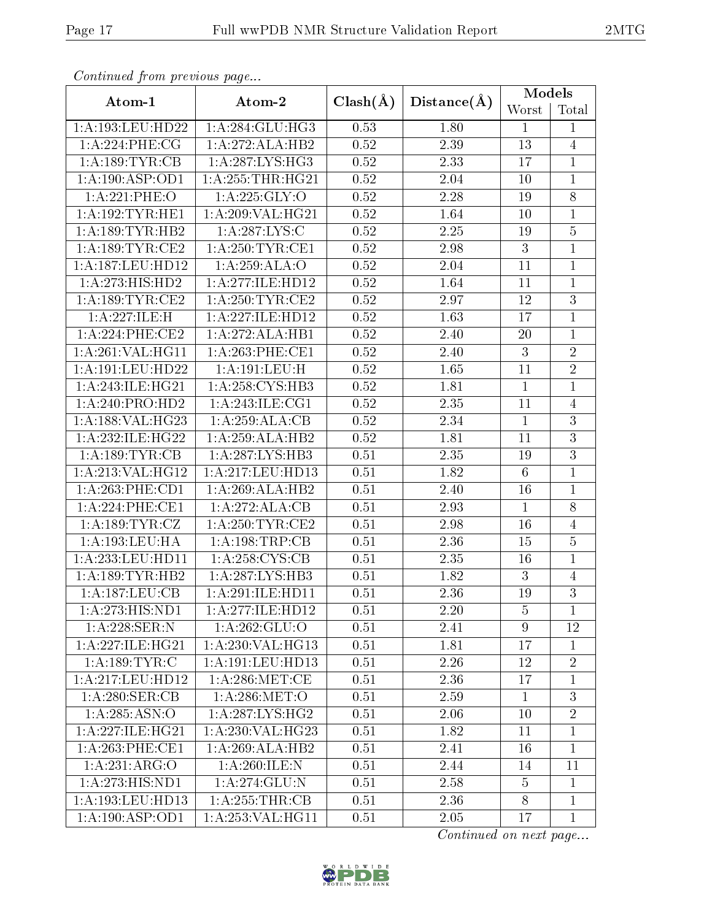|--|--|

| Continued from previous page |                      |                   |                   | Models         |                |
|------------------------------|----------------------|-------------------|-------------------|----------------|----------------|
| Atom-1                       | Atom-2               | $Clash(\AA)$      | Distance(A)       | Worst          | Total          |
| 1:A:193:LEU:HD22             | 1:A:284:GLU:HG3      | 0.53              | 1.80              | $\mathbf{1}$   | 1              |
| 1:A:224:PHE:CG               | 1:A:272:ALA:HB2      | $0.52\,$          | 2.39              | $13\,$         | $\overline{4}$ |
| 1:A:189:TYR:CB               | 1: A:287:LYS:HG3     | 0.52              | 2.33              | 17             | $\mathbf{1}$   |
| 1:A:190:ASP:OD1              | 1: A: 255: THR: HG21 | 0.52              | $\overline{2.04}$ | 10             | $\mathbf{1}$   |
| 1:A:221:PHE:O                | 1:A:225:GLY:O        | 0.52              | 2.28              | 19             | 8              |
| 1:A:192:TYR:HE1              | 1:A:209:VAL:HG21     | 0.52              | 1.64              | 10             | $\mathbf{1}$   |
| 1: A: 189: TYR: HB2          | 1:A:287:LYS:C        | 0.52              | 2.25              | 19             | $\overline{5}$ |
| 1: A: 189: TYR: CE2          | 1: A:250: TYR: CE1   | 0.52              | 2.98              | 3              | $\overline{1}$ |
| 1:A:187:LEU:HD12             | 1: A:259: ALA:O      | 0.52              | 2.04              | 11             | $\mathbf{1}$   |
| 1:A:273:HIS:HD2              | 1:A:277:ILE:HD12     | 0.52              | 1.64              | 11             | $\mathbf{1}$   |
| 1: A: 189: TYR: CE2          | 1: A:250:TYR:CE2     | 0.52              | 2.97              | 12             | $\overline{3}$ |
| 1:A:227:ILE:H                | 1:A:227:ILE:HD12     | 0.52              | 1.63              | 17             | $\mathbf{1}$   |
| 1:A:224:PHE:CE2              | 1:A:272:ALA:HB1      | 0.52              | 2.40              | 20             | $\mathbf{1}$   |
| 1:A:261:VAL:HG11             | 1: A:263:PHE:CE1     | 0.52              | 2.40              | 3              | $\overline{2}$ |
| 1:A:191:LEU:HD22             | 1:A:191:LEU:H        | 0.52              | 1.65              | 11             | $\overline{2}$ |
| 1: A:243: ILE: HG21          | 1: A:258: CYS:HB3    | 0.52              | 1.81              | $\mathbf{1}$   | $\mathbf{1}$   |
| 1:A:240:PRO:HD2              | 1: A:243: ILE: CG1   | 0.52              | 2.35              | 11             | $\overline{4}$ |
| 1:A:188:VAL:HG23             | 1:A:259:ALA:CB       | 0.52              | 2.34              | $\mathbf{1}$   | $\overline{3}$ |
| 1:A:232:ILE:HG22             | 1:A:259:ALA:HB2      | 0.52              | 1.81              | 11             | $\overline{3}$ |
| 1:A:189:TYR:CB               | 1: A:287:LYS:HB3     | 0.51              | 2.35              | 19             | 3              |
| 1:A:213:VAL:HG12             | 1:A:217:LEU:HD13     | 0.51              | 1.82              | $\,6\,$        | $\mathbf{1}$   |
| 1: A:263:PHE:CD1             | 1:A:269:ALA:HB2      | 0.51              | 2.40              | 16             | $\mathbf{1}$   |
| 1:A:224:PHE:CE1              | 1:A:272:ALA:CB       | $\overline{0.51}$ | 2.93              | $\mathbf{1}$   | $\overline{8}$ |
| 1:A:189:TYR:CZ               | 1: A:250:TYR:CE2     | 0.51              | 2.98              | 16             | $\overline{4}$ |
| 1:A:193:LEU:HA               | 1:A:198:TRP:CB       | 0.51              | 2.36              | 15             | $\overline{5}$ |
| 1:A:233:LEU:HD11             | 1:A:258:CYS:CB       | 0.51              | 2.35              | 16             | $\mathbf 1$    |
| 1: A: 189: TYR: HB2          | 1:A:287:LYS:HB3      | 0.51              | 1.82              | $\mathbf{3}$   | $\overline{4}$ |
| 1:A:187:LEU:CB               | 1: A:291: ILE: HD11  | 0.51              | 2.36              | 19             | $\overline{3}$ |
| 1:A:273:HIS:ND1              | 1:A:277:ILE:HD12     | 0.51              | 2.20              | $\overline{5}$ | $\mathbf{1}$   |
| 1:A:228:SER:N                | 1: A:262: GLU:O      | 0.51              | 2.41              | 9              | 12             |
| 1:A:227:ILE:HG21             | 1:A:230:VAL:HG13     | 0.51              | 1.81              | 17             | $\mathbf{1}$   |
| 1: A: 189: TYR: C            | 1: A:191:LEU:HD13    | 0.51              | 2.26              | 12             | $\sqrt{2}$     |
| 1:A:217:LEU:HD12             | $1: A:286$ : MET: CE | 0.51              | 2.36              | 17             | $\mathbf{1}$   |
| 1: A:280: SER: CB            | 1: A:286: MET:O      | 0.51              | 2.59              | $\mathbf{1}$   | 3              |
| 1: A: 285: ASN:O             | 1: A:287:LYS:HG2     | 0.51              | 2.06              | 10             | $\overline{2}$ |
| 1: A:227: ILE: HG21          | 1:A:230:VAL:HG23     | 0.51              | 1.82              | 11             | $\mathbf{1}$   |
| 1:A:263:PHE:CE1              | 1:A:269:ALA:HB2      | 0.51              | 2.41              | 16             | $\mathbf{1}$   |
| 1:A:231:ARG:O                | 1:A:260:ILE:N        | 0.51              | 2.44              | 14             | 11             |
| 1:A:273:HIS:ND1              | 1: A:274: GLU:N      | 0.51              | 2.58              | $\overline{5}$ | $\mathbf 1$    |
| 1:A:193:LEU:HD13             | 1:A:255:THR:CB       | 0.51              | 2.36              | $8\,$          | $\mathbf{1}$   |
| 1: A: 190: ASP: OD1          | 1:A:253:VAL:HG11     | 0.51              | 2.05              | 17             | $\mathbf{1}$   |

 $Confinued$  from previous

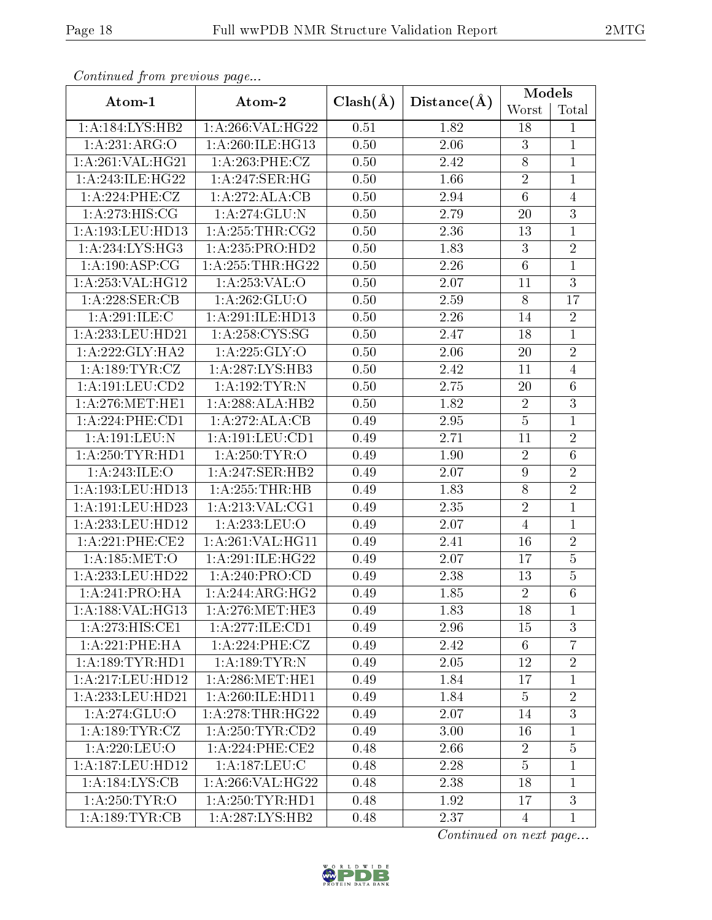|--|--|

| Continued from previous page |                     |              |             | Models         |                |
|------------------------------|---------------------|--------------|-------------|----------------|----------------|
| Atom-1                       | Atom-2              | $Clash(\AA)$ | Distance(A) | Worst          | Total          |
| 1:A:184:LYS:HB2              | 1:A:266:VAL:HG22    | 0.51         | 1.82        | 18             | 1              |
| 1:A:231:ARG:O                | 1:A:260:ILE:HG13    | 0.50         | $2.06\,$    | 3              | $\mathbf{1}$   |
| 1: A:261:VAL:HG21            | 1:A:263:PHE:CZ      | 0.50         | 2.42        | $8\,$          | $\mathbf{1}$   |
| 1:A:243:ILE:HG22             | 1:A:247:SER:HG      | 0.50         | 1.66        | $\overline{2}$ | $\mathbf{1}$   |
| 1:A:224:PHE:CZ               | 1:A:272:ALA:CB      | 0.50         | 2.94        | $\,6\,$        | $\overline{4}$ |
| 1:A:273:HIS:CG               | 1: A:274: GLU:N     | 0.50         | 2.79        | 20             | $\overline{3}$ |
| 1:A:193:LEU:HD13             | 1: A:255:THR:CG2    | 0.50         | 2.36        | 13             | $\mathbf{1}$   |
| 1:A:234:LYS:HG3              | 1:A:235:PRO:HD2     | 0.50         | 1.83        | 3              | $\overline{2}$ |
| 1:A:190:ASP:CG               | 1: A:255:THR:HG22   | 0.50         | 2.26        | $\,6\,$        | $\mathbf{1}$   |
| 1:A:253:VAL:HG12             | 1:A:253:VAL:O       | 0.50         | 2.07        | 11             | $\overline{3}$ |
| 1:A:228:SER:CB               | 1:A:262:GLU:O       | 0.50         | 2.59        | 8              | 17             |
| 1:A:291:ILE:C                | 1:A:291:ILE:HD13    | 0.50         | 2.26        | 14             | $\overline{2}$ |
| 1:A:233:LEU:HD21             | 1: A:258: CYS:SG    | 0.50         | 2.47        | 18             | $\mathbf{1}$   |
| 1:A:222:GLY:HA2              | 1: A:225: GLY:O     | 0.50         | 2.06        | 20             | $\sqrt{2}$     |
| 1:A:189:TYR:CZ               | 1:A:287:LYS:HB3     | 0.50         | 2.42        | 11             | $\overline{4}$ |
| 1:A:191:LEU:CD2              | 1:A:192:TYR:N       | 0.50         | 2.75        | 20             | $\overline{6}$ |
| 1: A:276:MET:HE1             | 1:A:288:ALA:HB2     | 0.50         | 1.82        | $\sqrt{2}$     | $\overline{3}$ |
| 1: A:224:PHE:CD1             | 1:A:272:ALA:CB      | 0.49         | 2.95        | $\overline{5}$ | $\mathbf 1$    |
| 1:A:191:LEU:N                | 1: A: 191: LEU: CD1 | 0.49         | 2.71        | 11             | $\overline{2}$ |
| 1: A:250:TYR:HD1             | 1:A:250:TYR:O       | 0.49         | 1.90        | $\overline{2}$ | $\overline{6}$ |
| 1:A:243:ILE:O                | 1:A:247:SER:HB2     | 0.49         | 2.07        | 9              | $\overline{2}$ |
| 1:A:193:LEU:HD13             | 1:A:255:THR:HB      | 0.49         | 1.83        | 8              | $\sqrt{2}$     |
| 1:A:191:LEU:HD23             | 1: A:213: VAL:CG1   | 0.49         | 2.35        | $\overline{2}$ | $\mathbf{1}$   |
| 1:A:233:LEU:HD12             | 1:A:233:LEU:O       | 0.49         | 2.07        | $\overline{4}$ | $\mathbf{1}$   |
| 1:A:221:PHE:CE2              | 1:A:261:VAL:HG11    | 0.49         | 2.41        | 16             | $\overline{2}$ |
| 1: A: 185: MET:O             | 1:A:291:ILE:HG22    | 0.49         | 2.07        | 17             | $\overline{5}$ |
| 1:A:233:LEU:HD22             | 1:A:240:PRO:CD      | 0.49         | 2.38        | 13             | $\overline{5}$ |
| 1:A:241:PRO:HA               | 1:A:244:ARG:HG2     | 0.49         | 1.85        | $\overline{2}$ | $\overline{6}$ |
| 1:A:188:VAL:HG13             | 1: A:276:MET:HE3    | 0.49         | 1.83        | 18             | $\mathbf{1}$   |
| 1:A:273:HIS:CE1              | 1:A:277:ILE:CD1     | 0.49         | 2.96        | 15             | 3              |
| 1:A:221:PHE:HA               | 1: A:224:PHE:CZ     | 0.49         | 2.42        | 6              | $\overline{7}$ |
| 1: A: 189: TYR: HD1          | 1:A:189:TYR:N       | 0.49         | 2.05        | 12             | $\sqrt{2}$     |
| 1:A:217:LEU:HD12             | 1: A:286:MET:HE1    | 0.49         | 1.84        | 17             | $\mathbf{1}$   |
| 1:A:233:LEU:HD21             | 1: A:260: ILE: HDI1 | 0.49         | 1.84        | $\overline{5}$ | $\sqrt{2}$     |
| $1: A:274:\overline{GLU:O}$  | 1: A:278:THR:HG22   | 0.49         | 2.07        | 14             | $\overline{3}$ |
| 1:A:189:TYR:CZ               | 1: A:250: TYR:CD2   | 0.49         | 3.00        | 16             | $\mathbf 1$    |
| 1:A:220:LEU:O                | $1: A:224:$ PHE:CE2 | 0.48         | 2.66        | $\overline{2}$ | $\overline{5}$ |
| 1:A:187:LEU:HD12             | 1: A: 187: LEU: C   | 0.48         | 2.28        | $\overline{5}$ | $\mathbf 1$    |
| 1:A:184:LYS:CB               | $1:$ A:266:VAL:HG22 | 0.48         | 2.38        | 18             | $\mathbf 1$    |
| 1: A:250: TYR:O              | 1: A:250: TYR: HD1  | 0.48         | 1.92        | 17             | $\overline{3}$ |
| 1: A: 189: TYR: CB           | 1:A:287:LYS:HB2     | 0.48         | 2.37        | $\overline{4}$ | $\mathbf{1}$   |

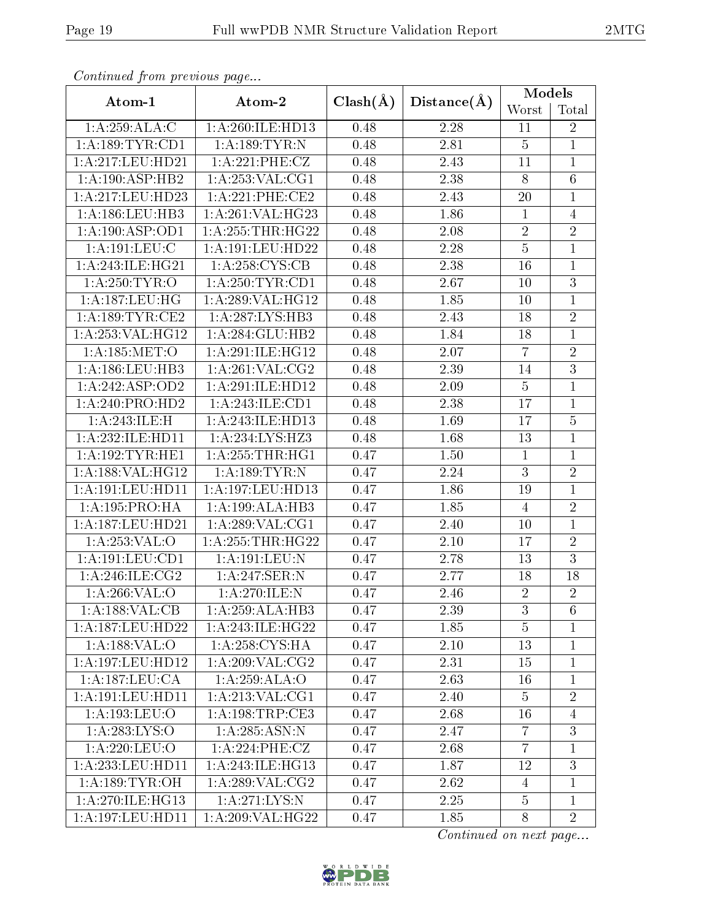| Continuea from previous page |                     |              |                   | Models         |                |
|------------------------------|---------------------|--------------|-------------------|----------------|----------------|
| Atom-1                       | Atom-2              | $Clash(\AA)$ | Distance(A)       | Worst          | Total          |
| 1:A:259:ALA:C                | 1:A:260:ILE:HD13    | 0.48         | 2.28              | 11             | $\overline{2}$ |
| 1: A: 189: TYR: CD1          | 1:A:189:TYR:N       | 0.48         | 2.81              | $\overline{5}$ | $\mathbf{1}$   |
| 1:A:217:LEU:HD21             | 1:A:221:PHE:CZ      | 0.48         | 2.43              | 11             | $\mathbf{1}$   |
| 1:A:190:ASP:HB2              | $1:$ A:253:VAL:CG1  | 0.48         | 2.38              | $\overline{8}$ | $\overline{6}$ |
| 1:A:217:LEU:HD23             | 1: A:221:PHE:CE2    | 0.48         | 2.43              | 20             | $\mathbf 1$    |
| 1:A:186:LEU:HB3              | 1:A:261:VAL:HG23    | 0.48         | 1.86              | $\mathbf{1}$   | $\overline{4}$ |
| 1: A: 190: ASP: OD1          | 1:A:255:THR:HG22    | 0.48         | 2.08              | $\overline{2}$ | $\overline{2}$ |
| 1:A:191:LEU:C                | 1:A:191:LEU:HD22    | 0.48         | 2.28              | $\overline{5}$ | $\mathbf{1}$   |
| 1: A:243: ILE: HG21          | 1: A:258: CYS:CB    | 0.48         | 2.38              | 16             | $\mathbf{1}$   |
| 1: A:250: TYR:O              | 1: A:250:TYR:CD1    | 0.48         | 2.67              | 10             | 3              |
| 1:A:187:LEU:HG               | 1:A:289:VAL:HG12    | 0.48         | 1.85              | 10             | $\mathbf{1}$   |
| 1: A: 189: TYR: CE2          | 1:A:287:LYS:HB3     | 0.48         | 2.43              | 18             | $\overline{2}$ |
| 1: A:253: VAL:HG12           | 1:A:284:GLU:HB2     | 0.48         | 1.84              | 18             | $\mathbf{1}$   |
| 1: A: 185: MET:O             | 1:A:291:ILE:HG12    | 0.48         | 2.07              | $\overline{7}$ | $\sqrt{2}$     |
| 1: A:186:LEU:HB3             | 1: A:261: VAL: CG2  | 0.48         | 2.39              | 14             | $\overline{3}$ |
| 1:A:242:ASP:OD2              | 1:A:291:ILE:HD12    | 0.48         | 2.09              | $\overline{5}$ | $\mathbf{1}$   |
| 1:A:240:PRO:HD2              | 1:A:243:ILE:CD1     | 0.48         | 2.38              | 17             | $\mathbf{1}$   |
| 1: A:243: ILE:H              | 1:A:243:ILE:HD13    | 0.48         | 1.69              | 17             | $\overline{5}$ |
| 1:A:232:ILE:HD11             | 1:A:234:LYS:HZ3     | 0.48         | 1.68              | 13             | $\mathbf{1}$   |
| 1: A:192:TYR:HE1             | 1: A:255:THR:HGI    | 0.47         | 1.50              | $\mathbf{1}$   | $\mathbf{1}$   |
| 1:A:188:VAL:HG12             | 1:A:189:TYR:N       | 0.47         | 2.24              | $\overline{3}$ | $\overline{2}$ |
| 1:A:191:LEU:HD11             | 1:A:197:LEU:HD13    | 0.47         | 1.86              | 19             | $\mathbf{1}$   |
| 1:A:195:PRO:HA               | 1:A:199:ALA:HB3     | 0.47         | 1.85              | $\overline{4}$ | $\overline{2}$ |
| 1:A:187:LEU:HD21             | 1: A:289: VAL:CG1   | 0.47         | 2.40              | 10             | $\mathbf{1}$   |
| 1:A:253:VAL:O                | 1:A:255:THR:HG22    | 0.47         | 2.10              | 17             | $\overline{2}$ |
| 1: A: 191: LEU: CD1          | 1: A: 191: LEU: N   | 0.47         | 2.78              | 13             | $\overline{3}$ |
| 1:A:246:ILE:CG2              | 1:A:247:SER:N       | 0.47         | 2.77              | 18             | 18             |
| 1: A:266: VAL:O              | 1:A:270:ILE:N       | 0.47         | $\overline{2.46}$ | $\overline{2}$ | $\overline{2}$ |
| $1:A:188:VAL: \overline{CB}$ | 1:A:259:ALA:HB3     | 0.47         | 2.39              | 3              | 6              |
| 1:A:187:LEU:HD22             | 1:A:243:ILE:HG22    | 0.47         | 1.85              | $\overline{5}$ | $\mathbf 1$    |
| 1:A:188:VAL:O                | 1:A:258:CYS:HA      | 0.47         | 2.10              | 13             | $\mathbf 1$    |
| 1:A:197:LEU:HD12             | 1: A:209: VAL:CG2   | 0.47         | 2.31              | 15             | $\mathbf{1}$   |
| 1:A:187:LEU:CA               | 1:A:259:ALA:O       | 0.47         | 2.63              | 16             | 1              |
| 1:A:191:LEU:HD11             | 1:A:213:VAL:CG1     | 0.47         | 2.40              | $\overline{5}$ | $\sqrt{2}$     |
| 1:A:193:LEU:O                | 1:A:198:TRP:CE3     | 0.47         | 2.68              | 16             | $\overline{4}$ |
| 1:A:283:LYS:O                | 1:A:285:ASN:N       | 0.47         | 2.47              | $\overline{7}$ | $\overline{3}$ |
| 1:A:220:LEU:O                | 1:A:224:PHE:CZ      | 0.47         | 2.68              | $\overline{7}$ | $\mathbf{1}$   |
| 1:A:233:LEU:HD11             | 1: A:243: ILE: HG13 | 0.47         | 1.87              | 12             | $\mathfrak{Z}$ |
| 1: A: 189: TYR: OH           | 1: A:289: VAL:CG2   | 0.47         | 2.62              | $\overline{4}$ | $\mathbf 1$    |
| 1: A:270: ILE:HG13           | 1: A:271:LYS:N      | 0.47         | 2.25              | $\overline{5}$ | $\mathbf{1}$   |
| 1:A:197:LEU:HD11             | 1:A:209:VAL:HG22    | 0.47         | 1.85              | 8              | $\overline{2}$ |

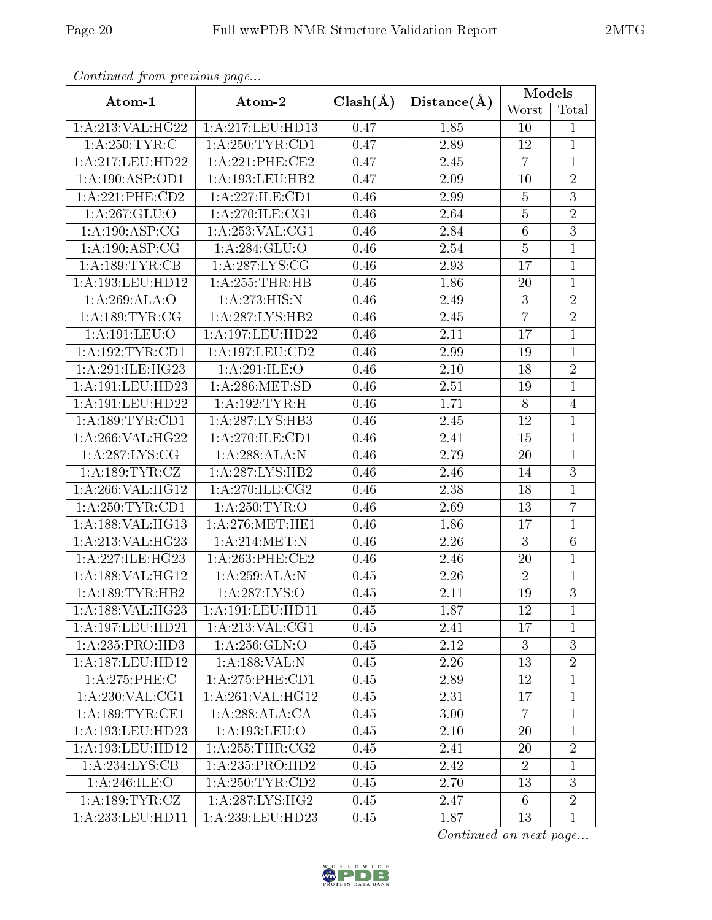| Continued from previous page |                                          |              | Distance(A)       | Models          |                 |  |
|------------------------------|------------------------------------------|--------------|-------------------|-----------------|-----------------|--|
| Atom-1                       | Atom-2                                   | $Clash(\AA)$ |                   | Worst           | Total           |  |
| 1:A:213:VAL:HG22             | 1: A:217:LEU:HD13                        | 0.47         | 1.85              | 10              | 1               |  |
| 1: A:250:TYR:C               | 1:A:250:TYR:CD1                          | 0.47         | 2.89              | 12              | $\mathbf{1}$    |  |
| 1:A:217:LEU:HD22             | 1: A:221:PHE:CE2                         | 0.47         | 2.45              | $\overline{7}$  | $\mathbf{1}$    |  |
| 1:A:190:ASP:OD1              | 1: A: 193: LEU: HB2                      | 0.47         | 2.09              | 10              | $\overline{2}$  |  |
| $1: A:221:$ PHE: $CD2$       | 1:A:227:ILE:CD1                          | 0.46         | 2.99              | $\overline{5}$  | $\overline{3}$  |  |
| 1:A:267:GLU:O                | 1: A:270: ILE: CG1                       | 0.46         | 2.64              | $\overline{5}$  | $\overline{2}$  |  |
| 1:A:190:ASP:CG               | 1: A:253: VAL:CG1                        | 0.46         | 2.84              | $\,6\,$         | $\overline{3}$  |  |
| 1:A:190:ASP:CG               | 1:A:284:GLU:O                            | 0.46         | 2.54              | $\overline{5}$  | $\mathbf{1}$    |  |
| 1: A: 189: TYR: CB           | 1: A:287: LYS: CG                        | 0.46         | 2.93              | 17              | $\mathbf 1$     |  |
| 1:A:193:LEU:HD12             | 1:A:255:THR:HB                           | 0.46         | 1.86              | 20              | $\mathbf 1$     |  |
| 1:A:269:ALA:O                | 1:A:273:HIS:N                            | 0.46         | 2.49              | $\overline{3}$  | $\overline{2}$  |  |
| 1: A: 189: TYR: CG           | 1: A: 287: LYS: HB2                      | 0.46         | 2.45              | $\overline{7}$  | $\overline{2}$  |  |
| 1:A:191:LEU:O                | 1: A: 197: LEU: HD22                     | 0.46         | 2.11              | 17              | $\mathbf{1}$    |  |
| 1: A:192:TYR:CD1             | 1:A:197:LEU:CD2                          | 0.46         | 2.99              | 19              | $\mathbf{1}$    |  |
| 1:A:291:ILE:HG23             | 1:A:291:ILE:O                            | 0.46         | $2.10\,$          | 18              | $\sqrt{2}$      |  |
| 1:A:191:LEU:HD23             | 1: A:286: MET:SD                         | 0.46         | 2.51              | 19              | $\mathbf{1}$    |  |
| 1:A:191:LEU:HD22             | 1:A:192:TYR:H                            | 0.46         | 1.71              | $8\,$           | $\overline{4}$  |  |
| 1: A: 189: TYR: CD1          | 1:A:287:LYS:HB3                          | 0.46         | 2.45              | 12              | $\mathbf{1}$    |  |
| 1:A:266:VAL:HG22             | 1:A:270:ILE:CD1                          | 0.46         | 2.41              | 15              | $\mathbf{1}$    |  |
| 1:A:287:LYS:CG               | 1:A:288:ALA:N                            | 0.46         | 2.79              | 20              | $\mathbf{1}$    |  |
| 1:A:189:TYR:CZ               | 1:A:287:LYS:HB2                          | 0.46         | 2.46              | 14              | $\overline{3}$  |  |
| 1:A:266:VAL:HG12             | 1: A:270: ILE: CG2                       | 0.46         | 2.38              | 18              | $\mathbf{1}$    |  |
| 1: A:250:TYR:CD1             | 1:A:250:TYR:O                            | 0.46         | 2.69              | 13              | $\overline{7}$  |  |
| 1:A:188:VAL:HG13             | 1: A:276:MET:HE1                         | 0.46         | 1.86              | 17              | $\mathbf{1}$    |  |
| 1:A:213:VAL:HG23             | 1: A:214:MET:N                           | 0.46         | 2.26              | 3               | $6\phantom{.}6$ |  |
| 1:A:227:ILE:HG23             | 1: A:263:PHE:CE2                         | 0.46         | 2.46              | $20\,$          | $\mathbf{1}$    |  |
| 1:A:188:VAL:HG12             | 1:A:259:ALA:N                            | 0.45         | 2.26              | $\overline{2}$  | $\mathbf{1}$    |  |
| 1: A: 189: TYR: HB2          | 1: A: 287: LYS: O                        | 0.45         | $\overline{2.11}$ | 19              | $\overline{3}$  |  |
| 1: A: 188: VAL:HG23          | 1: A: 191: LEU: HD11                     | 0.45         | 1.87              | 12              | 1               |  |
| 1:A:197:LEU:HD21             | 1:A:213:VAL:CG1                          | 0.45         | 2.41              | 17              | 1               |  |
| 1:A:235:PRO:HD3              | 1: A:256: GLN:O                          | 0.45         | 2.12              | 3               | $\overline{3}$  |  |
| 1:A:187:LEU:HD12             | 1:A:188:VAL:N                            | 0.45         | 2.26              | 13              | $\overline{2}$  |  |
| 1:A:275:PHE:C                | $1: A:275:$ PHE: $\overline{\text{CD1}}$ | 0.45         | 2.89              | 12              | $\mathbf{1}$    |  |
| 1: A:230: VAL:CG1            | 1:A:261:VAL:HG12                         | 0.45         | 2.31              | 17              | $\mathbf 1$     |  |
| 1: A: 189: TYR: CE1          | 1:A:288:ALA:CA                           | 0.45         | 3.00              | $\overline{7}$  | $\mathbf{1}$    |  |
| 1:A:193:LEU:HD23             | 1:A:193:LEU:O                            | 0.45         | 2.10              | 20              | $\mathbf{1}$    |  |
| 1: A: 193: LEU: HD12         | 1: A:255:THR:CG2                         | 0.45         | 2.41              | 20              | $\overline{2}$  |  |
| 1:A:234:LYS:CB               | 1:A:235:PRO:HD2                          | 0.45         | 2.42              | $\overline{2}$  | $\mathbf{1}$    |  |
| 1: A:246: ILE:O              | 1: A:250: TYR:CD2                        | 0.45         | 2.70              | 13              | 3               |  |
| 1:A:189:TYR:CZ               | 1: A:287:LYS:HG2                         | 0.45         | 2.47              | $6\phantom{.}6$ | $\overline{2}$  |  |
| 1:A:233:LEU:HD11             | 1:A:239:LEU:HD23                         | 0.45         | 1.87              | 13              | $\mathbf{1}$    |  |

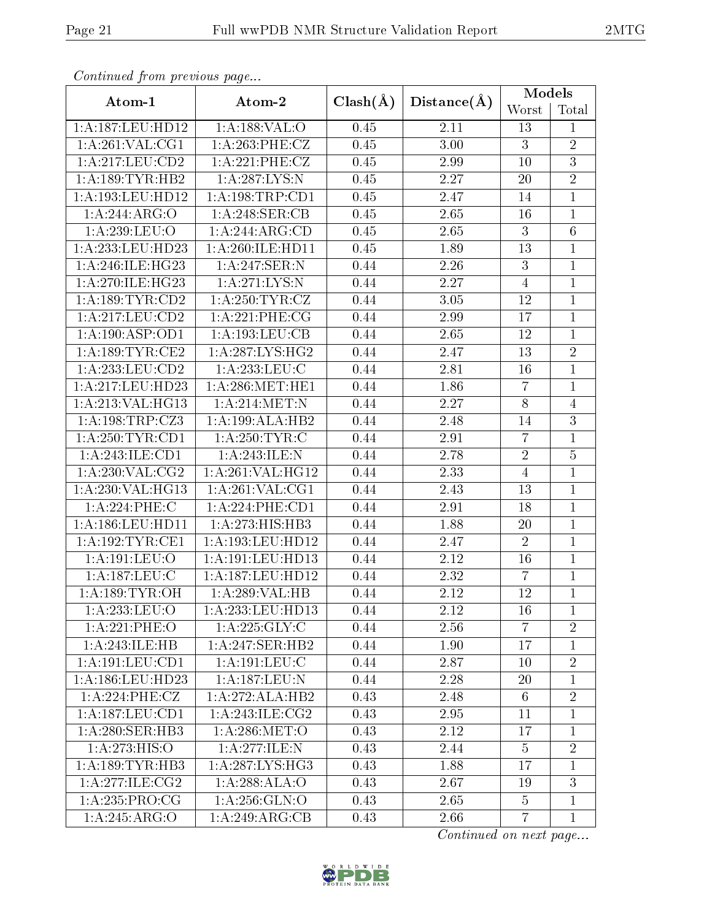| Continuea from previous page |                     |              |                   | <b>Models</b>   |                |
|------------------------------|---------------------|--------------|-------------------|-----------------|----------------|
| Atom-1                       | Atom-2              | $Clash(\AA)$ | Distance(A)       | Worst           | Total          |
| 1:A:187:LEU:HD12             | 1: A: 188: VAL: O   | 0.45         | 2.11              | 13              | $\mathbf{1}$   |
| 1:A:261:VAL:CG1              | 1:A:263:PHE:CZ      | 0.45         | 3.00              | 3               | $\overline{2}$ |
| 1:A:217:LEU:CD2              | 1:A:221:PHE:CZ      | 0.45         | 2.99              | 10              | $\overline{3}$ |
| 1: A: 189: TYR: HB2          | 1: A: 287: LYS: N   | 0.45         | 2.27              | $20\,$          | $\overline{2}$ |
| 1:A:193:LEU:HD12             | 1: A: 198: TRP: CD1 | 0.45         | 2.47              | 14              | $\mathbf{1}$   |
| 1:A:244:ARG:O                | 1:A:248:SER:CB      | 0.45         | 2.65              | 16              | $\overline{1}$ |
| 1:A:239:LEU:O                | 1:A:244:ARG:CD      | 0.45         | 2.65              | 3               | $6\,$          |
| 1:A:233:LEU:HD23             | 1:A:260:ILE:HD11    | 0.45         | 1.89              | 13              | $\mathbf{1}$   |
| 1: A:246: ILE: HG23          | 1:A:247:SER:N       | 0.44         | 2.26              | 3               | $\mathbf{1}$   |
| 1:A:270:ILE:HG23             | 1: A:271:LYS:N      | 0.44         | 2.27              | $\overline{4}$  | $\mathbf{1}$   |
| 1: A: 189: TYR: CD2          | 1: A:250: TYR: CZ   | 0.44         | 3.05              | 12              | $\mathbf{1}$   |
| 1:A:217:LEU:CD2              | 1: A:221:PHE:CG     | 0.44         | 2.99              | 17              | $\mathbf{1}$   |
| 1: A: 190: ASP: OD1          | 1: A: 193: LEU: CB  | 0.44         | 2.65              | 12              | $\mathbf{1}$   |
| 1: A: 189: TYR: CE2          | 1: A:287:LYS:HG2    | 0.44         | 2.47              | 13              | $\overline{2}$ |
| 1: A: 233: LEU: CD2          | $1: A:233:$ LEU:C   | 0.44         | 2.81              | 16              | $\mathbf{1}$   |
| 1:A:217:LEU:HD23             | 1: A:286: MET:HE1   | 0.44         | 1.86              | $\overline{7}$  | $\mathbf{1}$   |
| 1: A:213: VAL:HG13           | 1: A:214:MET:N      | 0.44         | 2.27              | $8\,$           | $\overline{4}$ |
| 1:A:198:TRP:CZ3              | 1:A:199:ALA:HB2     | 0.44         | 2.48              | 14              | $\overline{3}$ |
| 1: A:250: TYR: CD1           | 1: A:250:TYR:C      | 0.44         | 2.91              | $\overline{7}$  | $\overline{1}$ |
| 1:A:243:ILE:CD1              | 1:A:243:ILE:N       | 0.44         | 2.78              | $\overline{2}$  | $\bf 5$        |
| 1: A:230: VAL:CG2            | 1:A:261:VAL:HG12    | 0.44         | 2.33              | $\overline{4}$  | $\mathbf{1}$   |
| 1:A:230:VAL:HG13             | 1: A:261: VAL:CG1   | 0.44         | 2.43              | 13              | $\mathbf{1}$   |
| 1:A:224:PHE:C                | 1:A:224:PHE:CD1     | 0.44         | $\overline{2.91}$ | 18              | $\overline{1}$ |
| 1:A:186:LEU:HD11             | 1:A:273:HIS:HB3     | 0.44         | 1.88              | $20\,$          | $\overline{1}$ |
| 1:A:192:TYR:CE1              | 1:A:193:LEU:HD12    | 0.44         | 2.47              | $\overline{2}$  | $\mathbf{1}$   |
| 1:A:191:LEU:O                | 1:A:191:LEU:HD13    | 0.44         | 2.12              | 16              | $\mathbf{1}$   |
| 1:A:187:LEU:C                | 1:A:187:LEU:HD12    | 0.44         | 2.32              | $\overline{7}$  | $\mathbf{1}$   |
| 1:A:189:TYR:OH               | 1:A:289:VAL:HB      | 0.44         | 2.12              | 12              | $\overline{1}$ |
| 1:A:233:LEU:O                | 1: A:233:LEU:HD13   | 0.44         | 2.12              | 16              | $\mathbf{1}$   |
| 1:A:221:PHE:O                | 1: A:225: GLY: C    | 0.44         | 2.56              | $\overline{7}$  | $\sqrt{2}$     |
| 1: A:243: ILE: HB            | 1:A:247:SER:HB2     | 0.44         | 1.90              | 17              | $\mathbf 1$    |
| 1:A:191:LEU:CD1              | 1: A:191:LEU: C     | 0.44         | 2.87              | 10              | $\sqrt{2}$     |
| 1:A:186:LEU:HD23             | 1:A:187:LEU:N       | 0.44         | 2.28              | 20              | $\mathbf{1}$   |
| 1: A:224:PHE:CZ              | 1:A:272:ALA:HB2     | 0.43         | 2.48              | $6\phantom{.}6$ | $\overline{2}$ |
| 1:A:187:LEU:CD1              | 1: A:243: ILE: CG2  | 0.43         | 2.95              | 11              | $\mathbf{1}$   |
| 1:A:280:SER:HB3              | 1: A:286: MET:O     | 0.43         | 2.12              | 17              | $\mathbf 1$    |
| 1:A:273:HIS:O                | 1:A:277:ILE:N       | 0.43         | 2.44              | $5^{\circ}$     | $\overline{2}$ |
| 1: A: 189: TYR: HB3          | 1: A:287:LYS:HG3    | 0.43         | 1.88              | 17              | $\mathbf{1}$   |
| 1:A:277:ILE:CG2              | 1:A:288:ALA:O       | 0.43         | 2.67              | 19              | $\mathbf{3}$   |
| 1: A:235: PRO:CG             | 1:A:256:GLN:O       | 0.43         | 2.65              | $\overline{5}$  | $\mathbf{1}$   |
| 1:A:245:ARG:O                | 1:A:249:ARG:CB      | 0.43         | 2.66              | $\overline{7}$  | $\mathbf{1}$   |

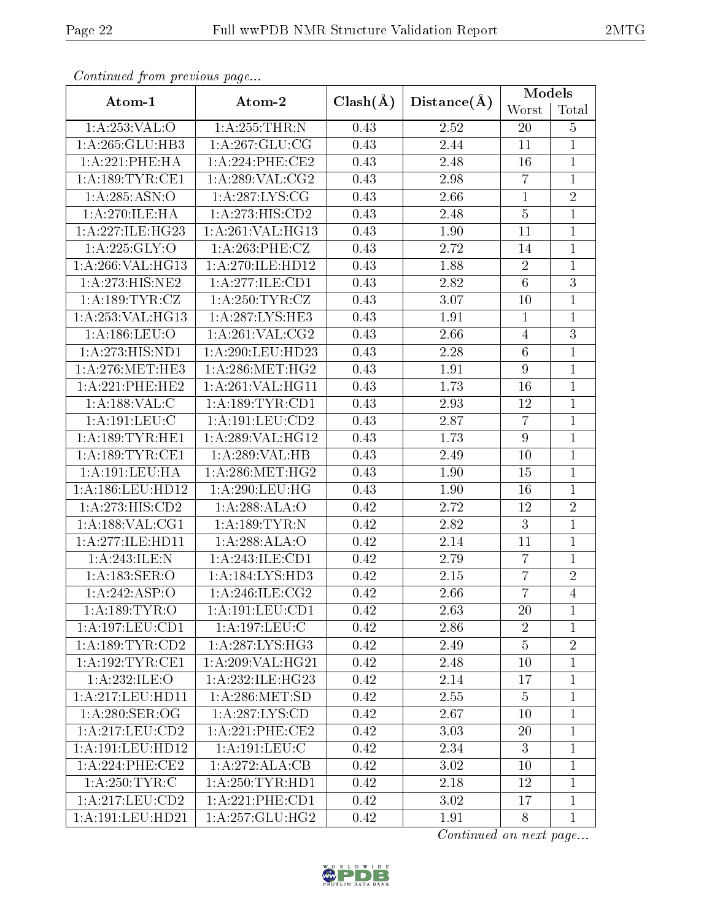| Continuea from previous page                              |                         |                   | Distance(A) | Models           |                |
|-----------------------------------------------------------|-------------------------|-------------------|-------------|------------------|----------------|
| Atom-1                                                    | Atom-2                  | $Clash(\AA)$      |             | Worst            | Total          |
| 1:A:253:VAL:O                                             | 1:A:255:THR:N           | 0.43              | 2.52        | <b>20</b>        | $\overline{5}$ |
| 1:A:265:GLU:HB3                                           | 1: A:267: GLU:CG        | 0.43              | 2.44        | 11               | $\overline{1}$ |
| 1:A:221:PHE:HA                                            | 1: A:224:PHE:CE2        | 0.43              | 2.48        | 16               | $\mathbf{1}$   |
| 1:A:189:TYR:CE1                                           | 1: A:289: VAL:CG2       | 0.43              | 2.98        | $\overline{7}$   | $\overline{1}$ |
| 1:A:285:ASN:O                                             | 1: A:287:LYS:CG         | 0.43              | 2.66        | 1                | $\sqrt{2}$     |
| 1:A:270:ILE:HA                                            | 1:A:273:HIS:CD2         | 0.43              | 2.48        | $\overline{5}$   | $\mathbf{1}$   |
| 1:A:227:ILE:HG23                                          | 1: A:261:VAL:HG13       | 0.43              | 1.90        | 11               | $\mathbf{1}$   |
| 1:A:225:GLY:O                                             | 1:A:263:PHE:CZ          | 0.43              | 2.72        | 14               | $\mathbf{1}$   |
| 1:A:266:VAL:HG13                                          | 1: A:270: ILE: HD12     | 0.43              | 1.88        | $\overline{2}$   | $\mathbf{1}$   |
| 1:A:273:HIS:NE2                                           | 1:A:277:ILE:CD1         | 0.43              | 2.82        | $6\phantom{.}6$  | 3              |
| 1:A:189:TYR:CZ                                            | 1: A:250: TYR: CZ       | 0.43              | 3.07        | 10               | $\mathbf{1}$   |
| 1:A:253:VAL:HG13                                          | 1:A:287:LYS:HE3         | 0.43              | 1.91        | $\mathbf{1}$     | $\mathbf{1}$   |
| 1: A: 186: LEU: O                                         | 1: A:261:VAL: CG2       | 0.43              | 2.66        | $\overline{4}$   | 3              |
| 1:A:273:HIS:ND1                                           | 1:A:290:LEU:HD23        | 0.43              | 2.28        | $6\phantom{.}6$  | $\mathbf{1}$   |
| $1:\stackrel{\textstyle A}{\textstyle \sim} 276$ :MET:HE3 | 1: A:286:MET:HG2        | 0.43              | 1.91        | $\boldsymbol{9}$ | $\mathbf{1}$   |
| 1:A:221:PHE:HE2                                           | 1: A:261: VAL:HGI1      | 0.43              | 1.73        | 16               | $\mathbf{1}$   |
| 1: A: 188: VAL: C                                         | 1: A: 189: TYR: CD1     | 0.43              | 2.93        | 12               | $\mathbf{1}$   |
| 1:A:191:LEU:C                                             | 1:A:191:LEU:CD2         | 0.43              | 2.87        | $\overline{7}$   | $\mathbf{1}$   |
| 1:A:189:TYR:HE1                                           | 1:A:289:VAL:HG12        | 0.43              | 1.73        | $\boldsymbol{9}$ | $\overline{1}$ |
| 1: A: 189: TYR: CE1                                       | 1:A:289:VAL:HB          | 0.43              | 2.49        | 10               | $\mathbf{1}$   |
| 1:A:191:LEU:HA                                            | 1: A:286:MET:HG2        | 0.43              | 1.90        | 15               | $\mathbf{1}$   |
| 1: A: 186: LEU: HD12                                      | 1: A:290:LEU:HG         | 0.43              | 1.90        | 16               | $\mathbf{1}$   |
| $1:A:27\overline{3:HIS:CD2}$                              | 1:A:288:ALA:O           | $\overline{0.42}$ | 2.72        | 12               | $\overline{2}$ |
| 1: A: 188: VAL: CG1                                       | 1:A:189:TYR:N           | 0.42              | 2.82        | 3                | $\mathbf{1}$   |
| 1:A:277:ILE:HD11                                          | 1:A:288:ALA:O           | 0.42              | 2.14        | 11               | $\mathbf{1}$   |
| 1:A:243:ILE:N                                             | 1: A:243: ILE: CD1      | 0.42              | 2.79        | 7                | $\mathbf{1}$   |
| 1:A:183:SER:O                                             | 1:A:184:LYS:HD3         | 0.42              | 2.15        | $\overline{7}$   | $\overline{2}$ |
| 1:A:242:ASP:O                                             | $1:$ A:246:ILE:CG2      | 0.42              | 2.66        | $\overline{7}$   | $\overline{4}$ |
| 1: A:189: TYR:O                                           | 1: A: 191: LEU: CD1     | 0.42              | 2.63        | 20               | 1              |
| 1:A:197:LEU:CD1                                           | 1: A: 197: LEU: C       | 0.42              | 2.86        | $\overline{2}$   | $\mathbf 1$    |
| 1: A: 189: TYR: CD2                                       | 1: A:287:LYS:HG3        | 0.42              | 2.49        | $\overline{5}$   | $\overline{2}$ |
| $1:A:192:TYR: \overline{CF1}$                             | 1:A:209:VAL:HG21        | 0.42              | 2.48        | 10               | $\mathbf{1}$   |
| 1:A:232:ILE:O                                             | 1: A:232: ILE: HG23     | 0.42              | 2.14        | 17               | $\mathbf{1}$   |
| 1:A:217:LEU:HD11                                          | 1: A:286: MET:SD        | 0.42              | 2.55        | 5                | $\mathbf{1}$   |
| 1: A:280: SER:OG                                          | $1:A:287:\text{LYS:CD}$ | 0.42              | 2.67        | 10               | $\mathbf 1$    |
| 1:A:217:LEU:CD2                                           | 1:A:221:PHE:CE2         | 0.42              | 3.03        | 20               | $\mathbf{1}$   |
| 1:A:191:LEU:HD12                                          | 1: A:191:LEU:C          | 0.42              | 2.34        | 3                | $\mathbf{1}$   |
| $1:A:\overline{224:PHE:CE2}$                              | 1:A:272:ALA:CB          | 0.42              | 3.02        | 10               | $\mathbf{1}$   |
| 1: A:250:TYR:C                                            | 1: A:250: TYR: HD1      | 0.42              | 2.18        | 12               | $\mathbf 1$    |
| 1: A:217:LEU:CD2                                          | 1: A:221:PHE:CD1        | 0.42              | 3.02        | 17               | $\mathbf{1}$   |
| 1:A:191:LEU:HD21                                          | 1: A:257: GLU:HG2       | 0.42              | 1.91        | 8                | $\mathbf 1$    |

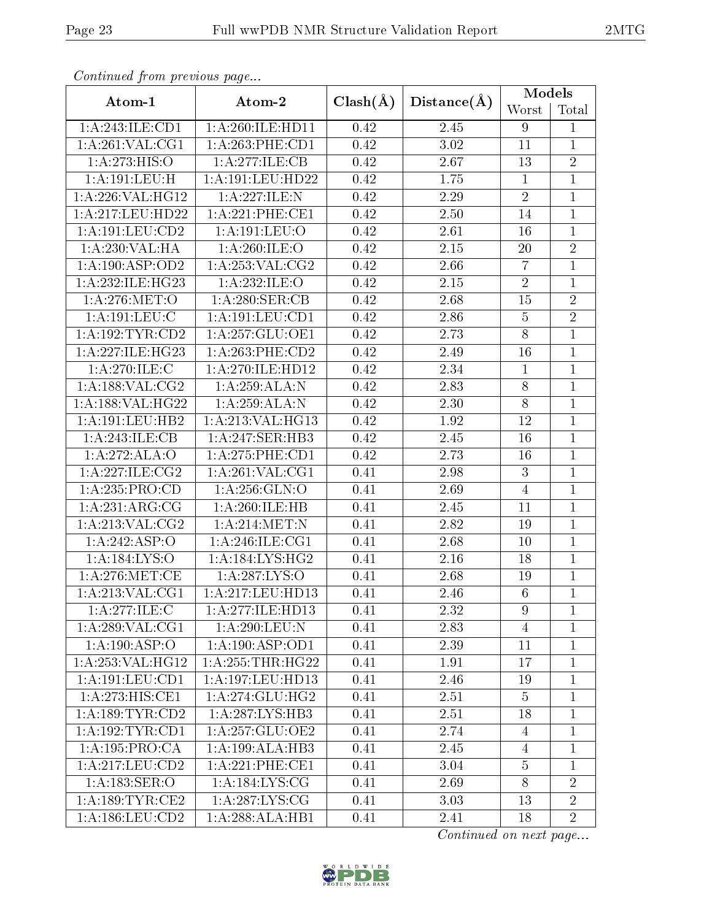| Continuea from previous page |                              |                   |             | Models         |                |
|------------------------------|------------------------------|-------------------|-------------|----------------|----------------|
| Atom-1                       | Atom-2                       | $Clash(\AA)$      | Distance(A) | Worst          | Total          |
| 1:A:243:ILE:CD1              | $1:$ A:260:ILE:HD11          | 0.42              | 2.45        | 9              | $\mathbf 1$    |
| 1: A:261:VAL:CG1             | 1:A:263:PHE:CD1              | 0.42              | 3.02        | 11             | $\mathbf{1}$   |
| 1: A:273:HIS:O               | 1:A:277:ILE:CB               | 0.42              | 2.67        | 13             | $\sqrt{2}$     |
| 1:A:191:LEU:H                | 1:A:191:LEU:HD22             | 0.42              | 1.75        | $\mathbf{1}$   | $\mathbf{1}$   |
| 1:A:226:VAL:HG12             | 1:A:227:ILE:N                | 0.42              | 2.29        | $\overline{2}$ | $\mathbf{1}$   |
| 1:A:217:LEU:HD22             | 1: A:221:PHE:CE1             | $\overline{0.42}$ | 2.50        | 14             | $\mathbf{1}$   |
| 1:A:191:LEU:CD2              | 1:A:191:LEU:O                | 0.42              | 2.61        | 16             | $\mathbf{1}$   |
| 1:A:230:VAL:HA               | 1:A:260:ILE:O                | 0.42              | 2.15        | 20             | $\overline{2}$ |
| 1: A: 190: ASP: OD2          | 1: A:253: VAL: CG2           | 0.42              | 2.66        | $\overline{7}$ | $\mathbf{1}$   |
| 1:A:232:ILE:HG23             | 1:A:232:ILE:O                | 0.42              | 2.15        | $\overline{2}$ | $\mathbf{1}$   |
| 1: A:276: MET:O              | 1: A:280: SER: CB            | 0.42              | 2.68        | 15             | $\overline{2}$ |
| 1: A: 191: LEU: C            | 1: A: 191: LEU: CD1          | 0.42              | 2.86        | $\overline{5}$ | $\overline{2}$ |
| 1: A: 192: TYR: CD2          | 1: A:257: GLU:OE1            | 0.42              | 2.73        | 8              | $\mathbf{1}$   |
| 1:A:227:ILE:HG23             | 1: A:263:PHE:CD2             | 0.42              | 2.49        | 16             | $\mathbf{1}$   |
| 1: A:270: ILE:C              | 1:A:270:ILE:HD12             | 0.42              | 2.34        | $\mathbf{1}$   | $\mathbf{1}$   |
| 1: A: 188: VAL: CG2          | 1:A:259:ALA:N                | 0.42              | 2.83        | $8\,$          | $\mathbf{1}$   |
| 1: A: 188: VAL: HG22         | 1:A:259:ALA:N                | 0.42              | 2.30        | $8\,$          | $\mathbf{1}$   |
| 1: A:191:LEU:HB2             | 1:A:213:VAL:HG13             | 0.42              | 1.92        | 12             | $\mathbf 1$    |
| 1:A:243:ILE:CB               | 1:A:247:SER:HB3              | 0.42              | 2.45        | 16             | $\mathbf{1}$   |
| 1:A:272:ALA:O                | 1:A:275:PHE:CD1              | 0.42              | 2.73        | 16             | $\mathbf{1}$   |
| 1: A:227: ILE: CG2           | 1: A:261:VAL:CG1             | 0.41              | 2.98        | $\overline{3}$ | $\mathbf{1}$   |
| 1:A:235:PRO:CD               | 1: A:256: GLN:O              | 0.41              | 2.69        | $\overline{4}$ | $\mathbf 1$    |
| 1:A:231:ARG:CG               | 1:A:260:ILE:HB               | $\overline{0.41}$ | 2.45        | 11             | $\mathbf{1}$   |
| 1:A:213:VAL:CG2              | 1: A:214:MET:N               | 0.41              | 2.82        | 19             | $\mathbf{1}$   |
| 1:A:242:ASP:O                | 1: A:246: ILE: CG1           | 0.41              | 2.68        | 10             | $\mathbf{1}$   |
| 1:A:184:LYS:O                | 1:A:184:LYS:HG2              | 0.41              | 2.16        | 18             | $\mathbf{1}$   |
| 1: A:276: MET:CE             | 1:A:287:LYS:O                | 0.41              | 2.68        | 19             | $\mathbf{1}$   |
| 1: A:213: VAL:CG1            | 1:A:217:LEU:HD13             | 0.41              | 2.46        | $\overline{6}$ | $\mathbf{1}$   |
| 1:A:277:ILE:C                | 1:A:277:ILE:HD13             | 0.41              | 2.32        | 9              | $\mathbf{1}$   |
| 1: A:289: VAL:CG1            | 1:A:290:LEU:N                | 0.41              | 2.83        | $\overline{4}$ | $\mathbf 1$    |
| 1:A:190:ASP:O                | 1: A: 190: ASP: OD1          | 0.41              | 2.39        | 11             | $\mathbf 1$    |
| 1: A:253: VAL:HG12           | 1:A:255:THR:HG22             | 0.41              | 1.91        | 17             | $\mathbf 1$    |
| 1:A:191:LEU:CD1              | 1:A:197:LEU:HD13             | 0.41              | 2.46        | 19             | $\mathbf{1}$   |
| 1:A:273:HIS:CE1              | 1:A:274:GLU:HG2              | 0.41              | 2.51        | $\overline{5}$ | $\mathbf{1}$   |
| 1: A: 189: TYR: CD2          | 1: A:287:LYS:HB3             | 0.41              | 2.51        | 18             | $\mathbf 1$    |
| 1:A:192:TYR:CD1              | 1:A:257:GLU:OE2              | 0.41              | 2.74        | $\overline{4}$ | $\mathbf 1$    |
| 1:A:195:PRO:CA               | 1:A:199:ALA:HB3              | 0.41              | 2.45        | 4              | $\mathbf{1}$   |
| 1: A:217:LEU:CD2             | 1: A:221:PHE:CE1             | 0.41              | 3.04        | $\overline{5}$ | $\mathbf{1}$   |
| 1: A: 183: SER: O            | 1: A:184: LYS: CG            | 0.41              | 2.69        | 8              | $\overline{2}$ |
| 1: A: 189: TYR: CE2          | 1: A:287:LYS:CG              | 0.41              | 3.03        | 13             | $\overline{2}$ |
| 1: A: 186: LEU: CD2          | $1:A:288:ALA:H\overline{B1}$ | 0.41              | 2.41        | 18             | $\overline{2}$ |

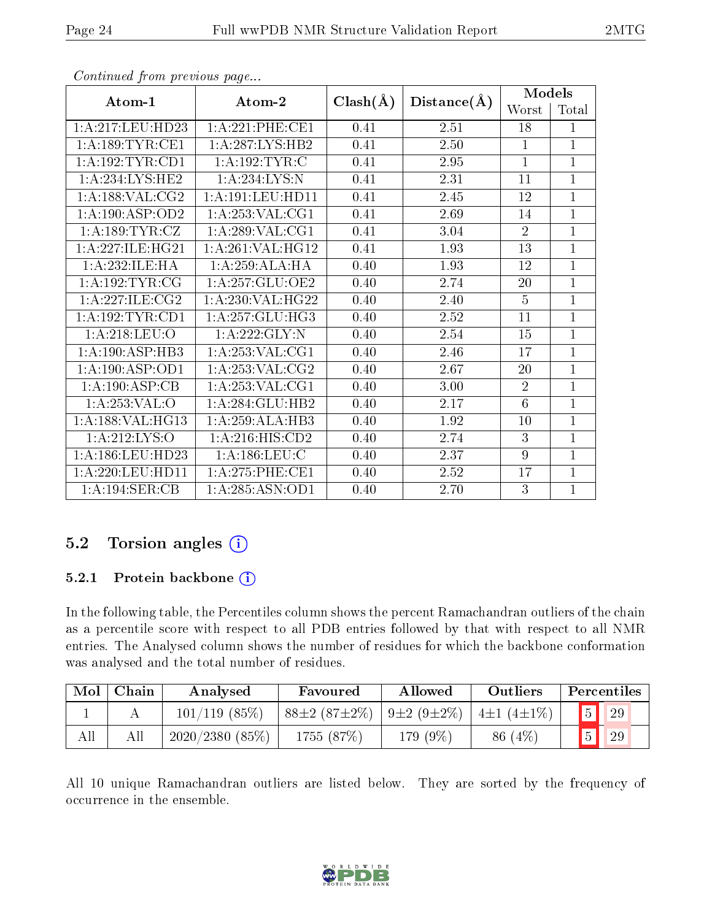|                      |                     |              |             | <b>Models</b>  |              |
|----------------------|---------------------|--------------|-------------|----------------|--------------|
| Atom-1               | Atom-2              | $Clash(\AA)$ | Distance(A) | Worst          | Total        |
| 1:A:217:LEU:HD23     | 1: A:221:PHE:CE1    | 0.41         | 2.51        | 18             | $\mathbf{1}$ |
| 1: A: 189: TYR: CE1  | 1: A:287:LYS:HB2    | 0.41         | 2.50        | $\mathbf{1}$   | $\mathbf{1}$ |
| 1: A: 192: TYR: CD1  | 1:A:192:TYR:C       | 0.41         | 2.95        | $\mathbf{1}$   | $\mathbf{1}$ |
| 1: A:234:LYS:HE2     | 1: A:234:LYS:N      | 0.41         | 2.31        | 11             | $\mathbf{1}$ |
| 1: A: 188: VAL: CG2  | 1: A:191: LEU: HD11 | 0.41         | 2.45        | 12             | $\mathbf{1}$ |
| 1: A: 190: ASP: OD2  | 1: A:253: VAL:CG1   | 0.41         | 2.69        | 14             | $\mathbf{1}$ |
| 1: A: 189: TYR: CZ   | 1: A:289: VAL:CG1   | 0.41         | 3.04        | $\overline{2}$ | $\mathbf{1}$ |
| 1:A:227:ILE:HG21     | 1:A:261:VAL:HG12    | 0.41         | 1.93        | 13             | $\mathbf{1}$ |
| 1:A:232:ILE:HA       | 1:A:259:ALA:HA      | 0.40         | 1.93        | 12             | $\mathbf{1}$ |
| 1: A: 192: TYR: CG   | 1: A:257: GLU:OE2   | 0.40         | 2.74        | 20             | $\mathbf{1}$ |
| 1:A:227:ILE:CG2      | 1:A:230:VAL:HG22    | 0.40         | 2.40        | $\overline{5}$ | $\mathbf{1}$ |
| 1: A: 192: TYR: CD1  | 1: A:257: GLU:HG3   | 0.40         | 2.52        | 11             | $\mathbf{1}$ |
| 1: A:218:LEU:O       | 1:A:222:GLY:N       | 0.40         | 2.54        | 15             | $\mathbf{1}$ |
| 1:A:190:ASP:HB3      | 1: A:253: VAL:CG1   | 0.40         | 2.46        | 17             | $\mathbf{1}$ |
| 1:A:190:ASP:OD1      | 1: A:253: VAL:CG2   | 0.40         | 2.67        | 20             | $\mathbf{1}$ |
| 1:A:190:ASP:CB       | 1: A:253: VAL:CG1   | 0.40         | 3.00        | $\overline{2}$ | $\mathbf{1}$ |
| 1:A:253:VAL:O        | 1: A:284: GLU:HB2   | 0.40         | 2.17        | 6              | $\mathbf{1}$ |
| 1: A: 188: VAL: HG13 | 1:A:259:ALA:HB3     | 0.40         | 1.92        | 10             | $\mathbf{1}$ |
| 1: A:212: LYS:O      | 1:A:216:HIS:CD2     | 0.40         | 2.74        | $\overline{3}$ | $\mathbf{1}$ |
| 1:A:186:LEU:HD23     | 1: A: 186: LEU: C   | 0.40         | 2.37        | 9              | $\mathbf{1}$ |
| 1: A:220:LEU:HD11    | 1: A:275:PHE:CE1    | 0.40         | 2.52        | 17             | $\mathbf{1}$ |
| 1:A:194:SER:CB       | 1:A:285:ASN:OD1     | 0.40         | 2.70        | 3              | $\mathbf{1}$ |

# 5.2 Torsion angles (i)

#### 5.2.1 Protein backbone (i)

In the following table, the Percentiles column shows the percent Ramachandran outliers of the chain as a percentile score with respect to all PDB entries followed by that with respect to all NMR entries. The Analysed column shows the number of residues for which the backbone conformation was analysed and the total number of residues.

| Mol | Chain | Analysed        | Favoured                               | Allowed  | Outliers                |              | Percentiles |
|-----|-------|-----------------|----------------------------------------|----------|-------------------------|--------------|-------------|
|     |       | $101/119$ (85%) | $88\pm2(87\pm2\%)$   9 $\pm2(9\pm2\%)$ |          | $^{\dagger}$ 4±1 (4±1%) |              | 29          |
| All |       | 2020/2380(85%)  | 1755 (87%)                             | 179 (9%) | 86 $(4%)$               | $\sqrt{5}$ / | 29          |

All 10 unique Ramachandran outliers are listed below. They are sorted by the frequency of occurrence in the ensemble.

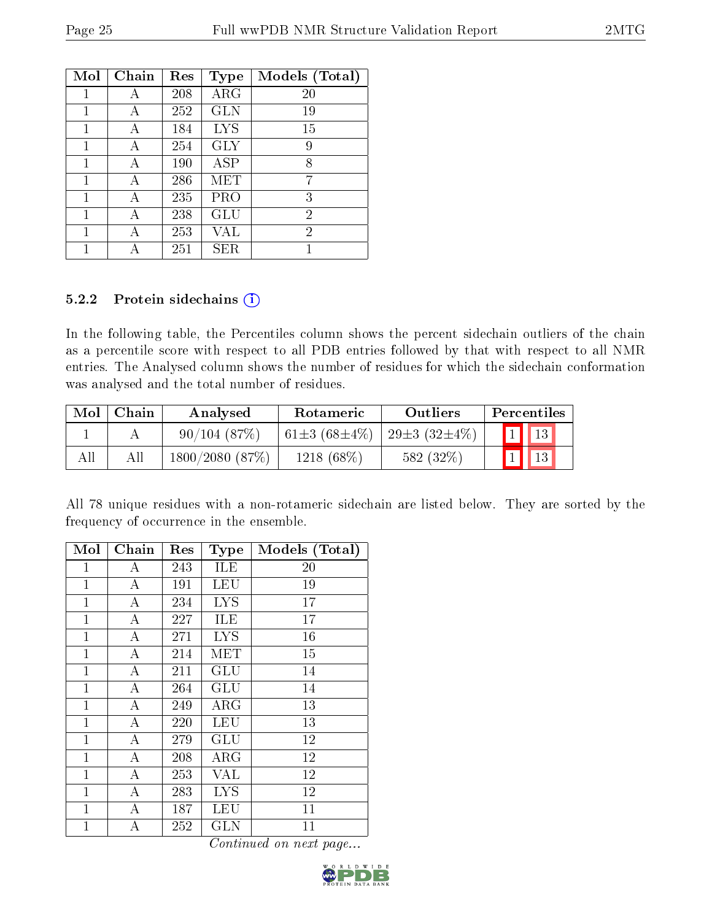| Mol | Chain | Res | <b>Type</b> | Models (Total) |
|-----|-------|-----|-------------|----------------|
| 1   | А     | 208 | ARG         | 20             |
| 1   | А     | 252 | <b>GLN</b>  | 19             |
| 1   | А     | 184 | <b>LYS</b>  | 15             |
| 1   | А     | 254 | <b>GLY</b>  | 9              |
| 1   | А     | 190 | ASP         | 8              |
| 1   |       | 286 | MET         | 7              |
| 1   | А     | 235 | PRO         | 3              |
| 1   | А     | 238 | GLU         | $\overline{2}$ |
| 1   | А     | 253 | VAL         | $\overline{2}$ |
|     |       | 251 | ${\rm SER}$ |                |

#### 5.2.2 Protein sidechains (i)

In the following table, the Percentiles column shows the percent sidechain outliers of the chain as a percentile score with respect to all PDB entries followed by that with respect to all NMR entries. The Analysed column shows the number of residues for which the sidechain conformation was analysed and the total number of residues.

| Mol | Chain | Analysed       | <b>Rotameric</b>          | Outliers                 | Percentiles |
|-----|-------|----------------|---------------------------|--------------------------|-------------|
|     |       | 90/104(87%)    | 61 $\pm$ 3 (68 $\pm$ 4\%) | 29 $\pm$ 3 (32 $\pm$ 4%) | 13          |
|     | All   | 1800/2080(87%) | $1218(68\%)$              | 582 (32%)                | 13          |

All 78 unique residues with a non-rotameric sidechain are listed below. They are sorted by the frequency of occurrence in the ensemble.

| Mol          | Chain            | $\operatorname{Res}% \left( \mathcal{N}\right) \equiv\operatorname{Res}(\mathcal{N}_{0})\cap\mathcal{N}_{1}$ | <b>Type</b> | Models (Total) |
|--------------|------------------|--------------------------------------------------------------------------------------------------------------|-------------|----------------|
| 1            | A                | 243                                                                                                          | ILE         | 20             |
| 1            | А                | 191                                                                                                          | LEU         | 19             |
| $\mathbf{1}$ | A                | 234                                                                                                          | <b>LYS</b>  | 17             |
| $\mathbf{1}$ | А                | 227                                                                                                          | ILE         | 17             |
| $\mathbf{1}$ | $\boldsymbol{A}$ | 271                                                                                                          | <b>LYS</b>  | 16             |
| $\mathbf{1}$ | A                | 214                                                                                                          | MET         | 15             |
| $\mathbf{1}$ | A                | 211                                                                                                          | GLU         | 14             |
| $\mathbf{1}$ | А                | 264                                                                                                          | <b>GLU</b>  | 14             |
| $\mathbf 1$  | A                | 249                                                                                                          | $\rm{ARG}$  | 13             |
| $\mathbf{1}$ | А                | 220                                                                                                          | LEU         | 13             |
| $\mathbf{1}$ | $\boldsymbol{A}$ | 279                                                                                                          | <b>GLU</b>  | 12             |
| $\mathbf{1}$ | A                | 208                                                                                                          | $\rm{ARG}$  | 12             |
| 1            | А                | 253                                                                                                          | VAL         | 12             |
| $\mathbf{1}$ | А                | 283                                                                                                          | <b>LYS</b>  | 12             |
| $\mathbf{1}$ | A                | 187                                                                                                          | LEU         | 11             |
| $\mathbf 1$  | А                | 252                                                                                                          | <b>GLN</b>  | 11             |

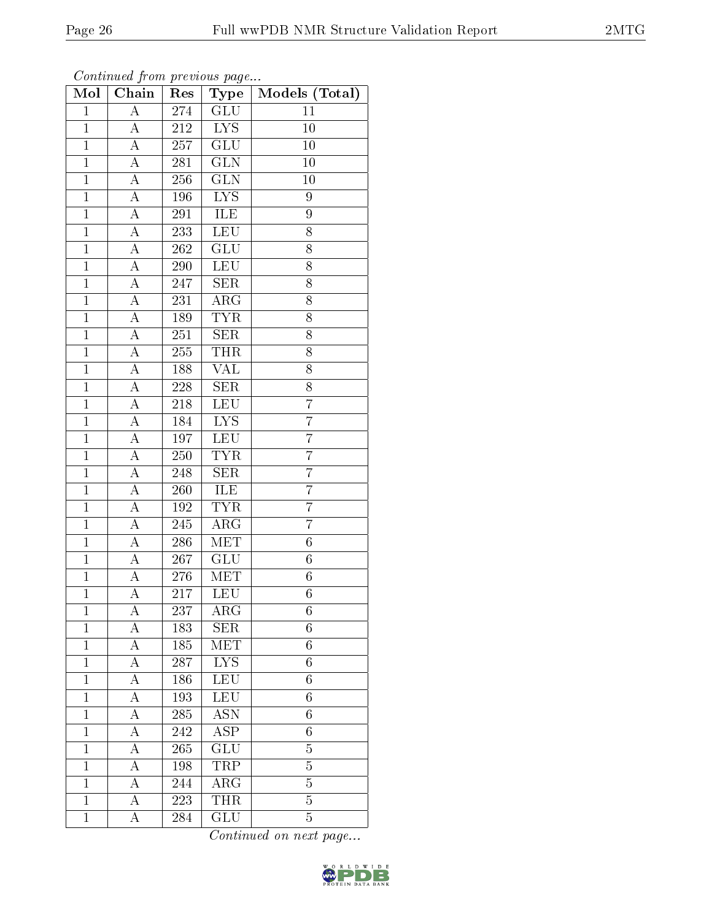| Mol            | Chain              | $\mathbf{r}$ . $\circ$ $\circ$ $\circ$<br>Res | $\sim r \sim \frac{1}{2}$<br>Type | Models (Total)   |
|----------------|--------------------|-----------------------------------------------|-----------------------------------|------------------|
| $\mathbf{1}$   | $\overline{A}$     | 274                                           | <b>GLU</b>                        | 11               |
| $\overline{1}$ | A                  | 212                                           | $\overline{L} \overline{YS}$      | $\bar{1}0$       |
| $\overline{1}$ | $\overline{\rm A}$ | 257                                           | $\overline{\text{GLU}}$           | 10               |
| $\mathbf{1}$   | A                  | 281                                           | <b>GLN</b>                        | 10               |
| $\overline{1}$ | $\overline{\rm A}$ | 256                                           | $\overline{\text{GLN}}$           | 10               |
| $\mathbf{1}$   | A                  | 196                                           | LYS                               | 9                |
| $\mathbf{1}$   | $\boldsymbol{A}$   | 291                                           | ILE                               | 9                |
| $\overline{1}$ | A                  | 233                                           | <b>LEU</b>                        | 8                |
| $\mathbf{1}$   | $\boldsymbol{A}$   | 262                                           | GLU                               | 8                |
| $\overline{1}$ | А                  | 290                                           | LEU                               | 8                |
| $\overline{1}$ | $\boldsymbol{A}$   | 247                                           | <b>SER</b>                        | 8                |
| $\overline{1}$ | A                  | 231                                           | $\widehat{\rm ARG}$               | $\overline{8}$   |
| $\mathbf{1}$   | A                  | 189                                           | <b>TYR</b>                        | 8                |
| $\mathbf{1}$   | А                  | 251                                           | <b>SER</b>                        | 8                |
| $\overline{1}$ | A                  | 255                                           | <b>THR</b>                        | $\overline{8}$   |
| $\mathbf 1$    | $\boldsymbol{A}$   | 188                                           | <b>VAL</b>                        | 8                |
| $\overline{1}$ | $\overline{A}$     | 228                                           | $\overline{\text{SER}}$           | $\overline{8}$   |
| $\mathbf{1}$   | $\boldsymbol{A}$   | 218                                           | <b>LEU</b>                        | $\overline{7}$   |
| $\mathbf{1}$   | $\overline{\rm A}$ | 184                                           | $\overline{LYS}$                  | $\overline{7}$   |
| $\mathbf{1}$   | $\overline{A}$     | 197                                           | LEU                               | $\overline{7}$   |
| $\overline{1}$ | $\overline{\rm A}$ | 250                                           | <b>TYR</b>                        | $\overline{7}$   |
| $\overline{1}$ | $\overline{\rm A}$ | 248                                           | $\overline{\text{SER}}$           | $\overline{7}$   |
| $\mathbf{1}$   | А                  | 260                                           | ILE                               | $\overline{7}$   |
| $\mathbf{1}$   | A                  | 192                                           | <b>TYR</b>                        | $\overline{7}$   |
| $\overline{1}$ | $\boldsymbol{A}$   | 245                                           | ARG                               | $\overline{7}$   |
| $\mathbf{1}$   | $\boldsymbol{A}$   | 286                                           | <b>MET</b>                        | $\boldsymbol{6}$ |
| $\overline{1}$ | А                  | 267                                           | $\overline{\mathrm{GLU}}$         | $\overline{6}$   |
| $\mathbf{1}$   | A                  | 276                                           | MET                               | $\boldsymbol{6}$ |
| $\overline{1}$ | A                  | $\overline{2}17$                              | LEU                               | $\overline{6}$   |
| 1              | А                  | 237                                           | $\rm{ARG}$                        | 6                |
| $\overline{1}$ | А                  | 183                                           | <b>SER</b>                        | $\overline{6}$   |
| $\mathbf 1$    | А                  | 185                                           | MET                               | $\overline{6}$   |
| $\mathbf{1}$   | А                  | 287                                           | LYS                               | 6                |
| $\mathbf{1}$   | A                  | 186                                           | <b>LEU</b>                        | $\overline{6}$   |
| $\mathbf{1}$   | A                  | 193                                           | <b>LEU</b>                        | 6                |
| $\mathbf{1}$   | $\overline{\rm A}$ | 285                                           | $\overline{\mathrm{ASN}}$         | $\overline{6}$   |
| $\mathbf{1}$   | A                  | 242                                           | $\overline{\text{ASP}}$           | 6                |
| $\mathbf{1}$   | A                  | 265                                           | $\overline{\text{GLU}}$           | $\overline{5}$   |
| $\mathbf{1}$   | $\overline{\rm A}$ | 198                                           | TRP                               | 5                |
| $\mathbf{1}$   | A                  | 244                                           | ${\rm ARG}$                       | $\overline{5}$   |
| $\mathbf{1}$   | $\boldsymbol{A}$   | 223                                           | <b>THR</b>                        | $\overline{5}$   |
| $\mathbf{1}$   | А                  | 284                                           | $\overline{\text{GLU}}$           | $\overline{5}$   |

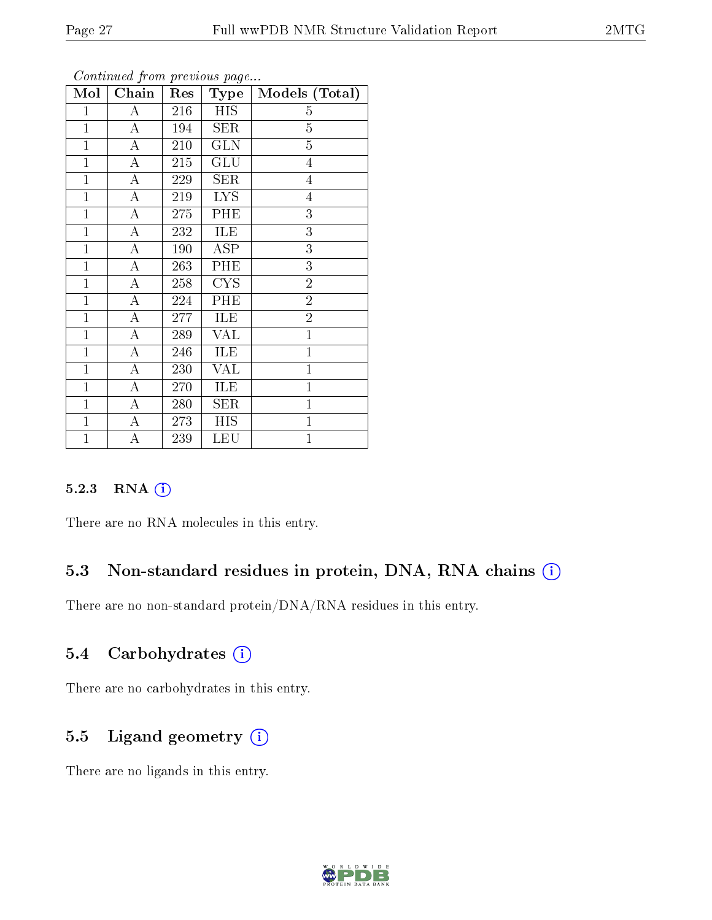| Mol          | Chain              | Res | $_{\rm Type}$ | Models (Total) |
|--------------|--------------------|-----|---------------|----------------|
| $\mathbf 1$  | А                  | 216 | <b>HIS</b>    | 5              |
| $\mathbf{1}$ | $\boldsymbol{A}$   | 194 | <b>SER</b>    | $\overline{5}$ |
| $\mathbf{1}$ | $\overline{A}$     | 210 | <b>GLN</b>    | $\overline{5}$ |
| $\mathbf{1}$ | $\boldsymbol{A}$   | 215 | GLU           | $\overline{4}$ |
| $\mathbf{1}$ | $\overline{A}$     | 229 | <b>SER</b>    | $\overline{4}$ |
| $\mathbf{1}$ | $\boldsymbol{A}$   | 219 | <b>LYS</b>    | $\overline{4}$ |
| $\mathbf{1}$ | $\boldsymbol{A}$   | 275 | PHE           | $\overline{3}$ |
| $\mathbf{1}$ | $\overline{A}$     | 232 | ILE           | $\overline{3}$ |
| $\mathbf{1}$ | $\boldsymbol{A}$   | 190 | <b>ASP</b>    | 3              |
| $\mathbf{1}$ | $\boldsymbol{A}$   | 263 | PHE           | $\overline{3}$ |
| $\mathbf{1}$ | $\boldsymbol{A}$   | 258 | <b>CYS</b>    | $\overline{2}$ |
| $\mathbf{1}$ | A                  | 224 | PHE           | $\overline{2}$ |
| $\mathbf{1}$ | $\overline{\rm A}$ | 277 | ILE           | $\overline{2}$ |
| $\mathbf{1}$ | $\boldsymbol{A}$   | 289 | <b>VAL</b>    | $\overline{1}$ |
| $\mathbf{1}$ | A                  | 246 | ILE           | $\mathbf{1}$   |
| $\mathbf{1}$ | А                  | 230 | VAL           | $\mathbf{1}$   |
| $\mathbf{1}$ | А                  | 270 | ILE           | $\mathbf{1}$   |
| $\mathbf{1}$ | A                  | 280 | <b>SER</b>    | $\overline{1}$ |
| $\mathbf{1}$ | $\boldsymbol{A}$   | 273 | <b>HIS</b>    | $\mathbf{1}$   |
| $\mathbf{1}$ | A                  | 239 | <b>LEU</b>    | $\overline{1}$ |

#### 5.2.3 RNA [O](https://www.wwpdb.org/validation/2017/NMRValidationReportHelp#rna)i

There are no RNA molecules in this entry.

# 5.3 Non-standard residues in protein, DNA, RNA chains  $(i)$

There are no non-standard protein/DNA/RNA residues in this entry.

# 5.4 Carbohydrates (i)

There are no carbohydrates in this entry.

# 5.5 Ligand geometry  $(i)$

There are no ligands in this entry.

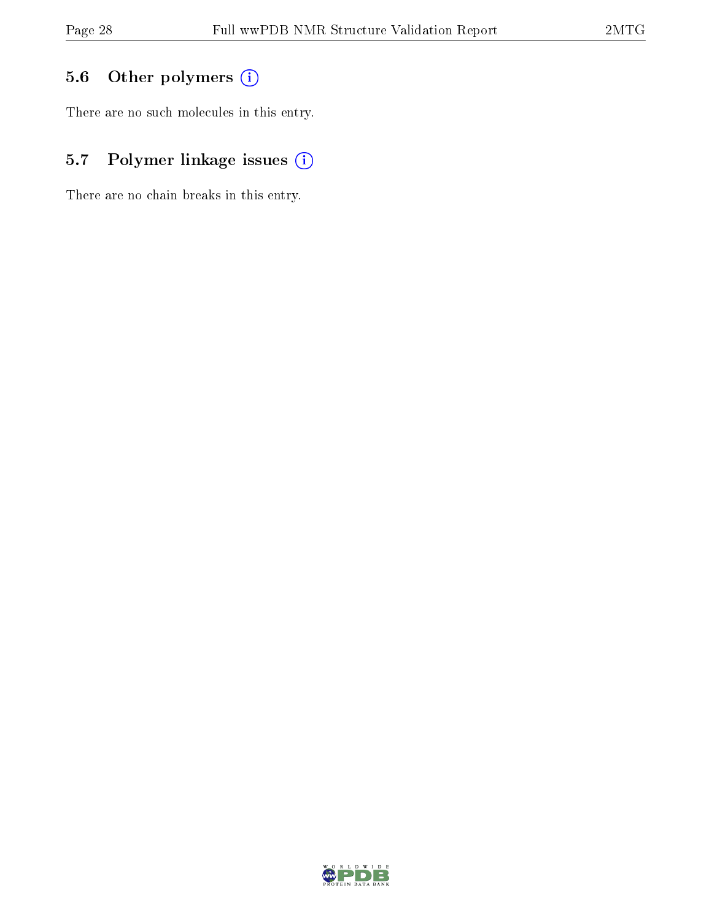# 5.6 [O](https://www.wwpdb.org/validation/2017/NMRValidationReportHelp#nonstandard_residues_and_ligands)ther polymers (i)

There are no such molecules in this entry.

# 5.7 Polymer linkage issues (i)

There are no chain breaks in this entry.

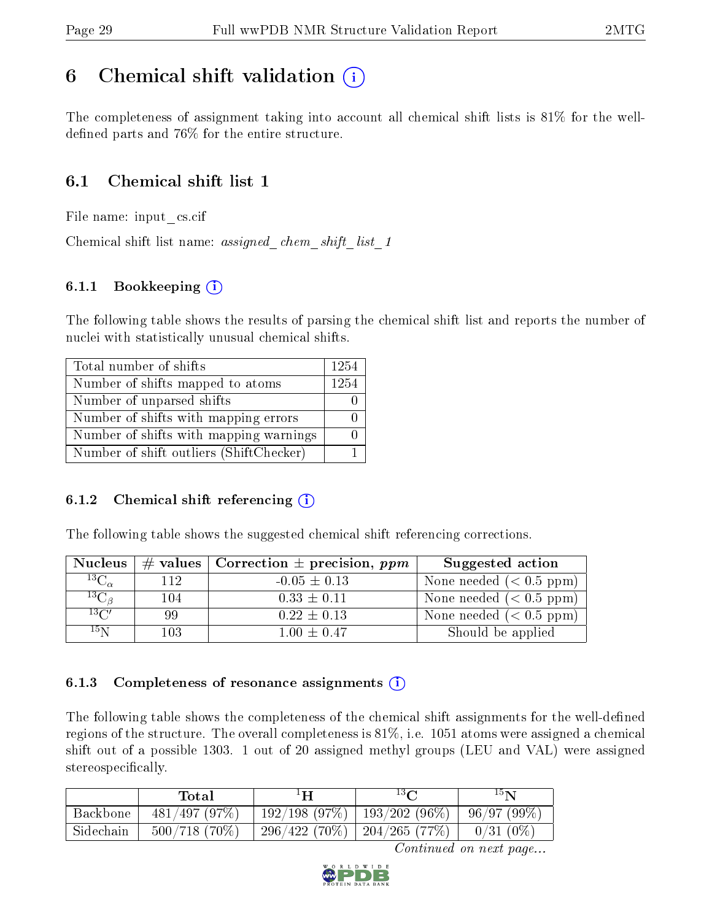# <span id="page-28-0"></span>6 Chemical shift validation  $\binom{1}{k}$

The completeness of assignment taking into account all chemical shift lists is 81% for the welldefined parts and  $76\%$  for the entire structure.

# 6.1 Chemical shift list 1

File name: input\_cs.cif

Chemical shift list name: *assigned\_chem\_shift\_list\_1* 

#### 6.1.1 Bookkeeping (i)

The following table shows the results of parsing the chemical shift list and reports the number of nuclei with statistically unusual chemical shifts.

| Total number of shifts                  | 1254 |
|-----------------------------------------|------|
| Number of shifts mapped to atoms        | 1254 |
| Number of unparsed shifts               |      |
| Number of shifts with mapping errors    |      |
| Number of shifts with mapping warnings  |      |
| Number of shift outliers (ShiftChecker) |      |

#### 6.1.2 Chemical shift referencing  $(i)$

The following table shows the suggested chemical shift referencing corrections.

| <b>Nucleus</b>     |      | # values   Correction $\pm$ precision, ppm | Suggested action          |
|--------------------|------|--------------------------------------------|---------------------------|
| $^{13}C_{\alpha}$  | 112. | $-0.05 \pm 0.13$                           | None needed $(0.5 ppm)$   |
| ${}^{13}C_{\beta}$ | 104  | $0.33 \pm 0.11$                            | None needed $(0.5 ppm)$   |
| $13\text{C}$       | 99   | $0.22 \pm 0.13$                            | None needed $(< 0.5$ ppm) |
| $15\,\mathrm{N}$   | 103. | $1.00 \pm 0.47$                            | Should be applied         |

#### 6.1.3 Completeness of resonance assignments  $(i)$

The following table shows the completeness of the chemical shift assignments for the well-defined regions of the structure. The overall completeness is 81%, i.e. 1051 atoms were assigned a chemical shift out of a possible 1303. 1 out of 20 assigned methyl groups (LEU and VAL) were assigned stereospecifically.

|           | $\operatorname{\textsf{Total}}$ | ŦП               | 13 <sub>0</sub>       | $15\mathbf{N}$ |
|-----------|---------------------------------|------------------|-----------------------|----------------|
| Backbone  | 481/497(97%)                    | $192/198$ (97\%) | $193/202(96\%)$       | $-96/97(99%)$  |
| Sidechain | $500/718(70\%)$                 | $296/422(70\%)$  | $\mid$ 204/265 (77\%) | $0/31(0\%)$    |